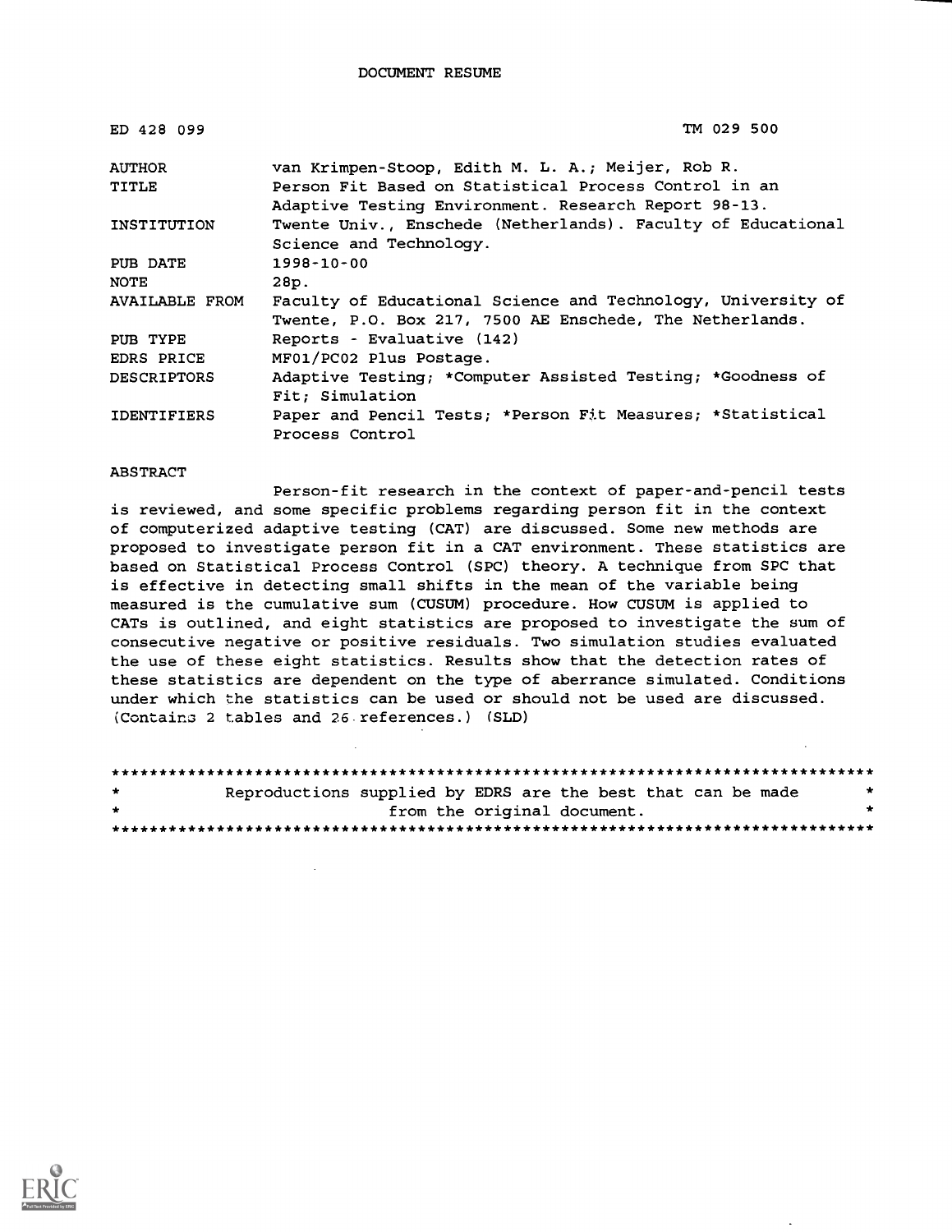| ED 428 099            | TM 029 500                                                   |
|-----------------------|--------------------------------------------------------------|
| <b>AUTHOR</b>         | van Krimpen-Stoop, Edith M. L. A.; Meijer, Rob R.            |
| TITLE                 | Person Fit Based on Statistical Process Control in an        |
|                       | Adaptive Testing Environment. Research Report 98-13.         |
| INSTITUTION           | Twente Univ., Enschede (Netherlands). Faculty of Educational |
|                       | Science and Technology.                                      |
| PUB DATE              | 1998-10-00                                                   |
| NOTE                  | 28p.                                                         |
| <b>AVAILABLE FROM</b> | Faculty of Educational Science and Technology, University of |
|                       | Twente, P.O. Box 217, 7500 AE Enschede, The Netherlands.     |
| PUB TYPE              | Reports - Evaluative (142)                                   |
| EDRS PRICE            | MF01/PC02 Plus Postage.                                      |
| <b>DESCRIPTORS</b>    | Adaptive Testing; *Computer Assisted Testing; *Goodness of   |
|                       | Fit; Simulation                                              |
| <b>IDENTIFIERS</b>    | Paper and Pencil Tests; *Person Fit Measures; *Statistical   |
|                       | Process Control                                              |

#### ABSTRACT

Person-fit research in the context of paper-and-pencil tests is reviewed, and some specific problems regarding person fit in the context of computerized adaptive testing (CAT) are discussed. Some new methods are proposed to investigate person fit in a CAT environment. These statistics are based on Statistical Process Control (SPC) theory. A technique from SPC that is effective in detecting small shifts in the mean of the variable being measured is the cumulative sum (CUSUM) procedure. How CUSUM is applied to CATs is outlined, and eight statistics are proposed to investigate the sum of consecutive negative or positive residuals. Two simulation studies evaluated the use of these eight statistics. Results show that the detection rates of these statistics are dependent on the type of aberrance simulated. Conditions under which the statistics can be used or should not be used are discussed. (Containa 2 tables and 26 references.) (SLD)

| $\star$ | Reproductions supplied by EDRS are the best that can be made |                             |  |  |  |
|---------|--------------------------------------------------------------|-----------------------------|--|--|--|
| $\star$ |                                                              | from the original document. |  |  |  |
|         |                                                              |                             |  |  |  |

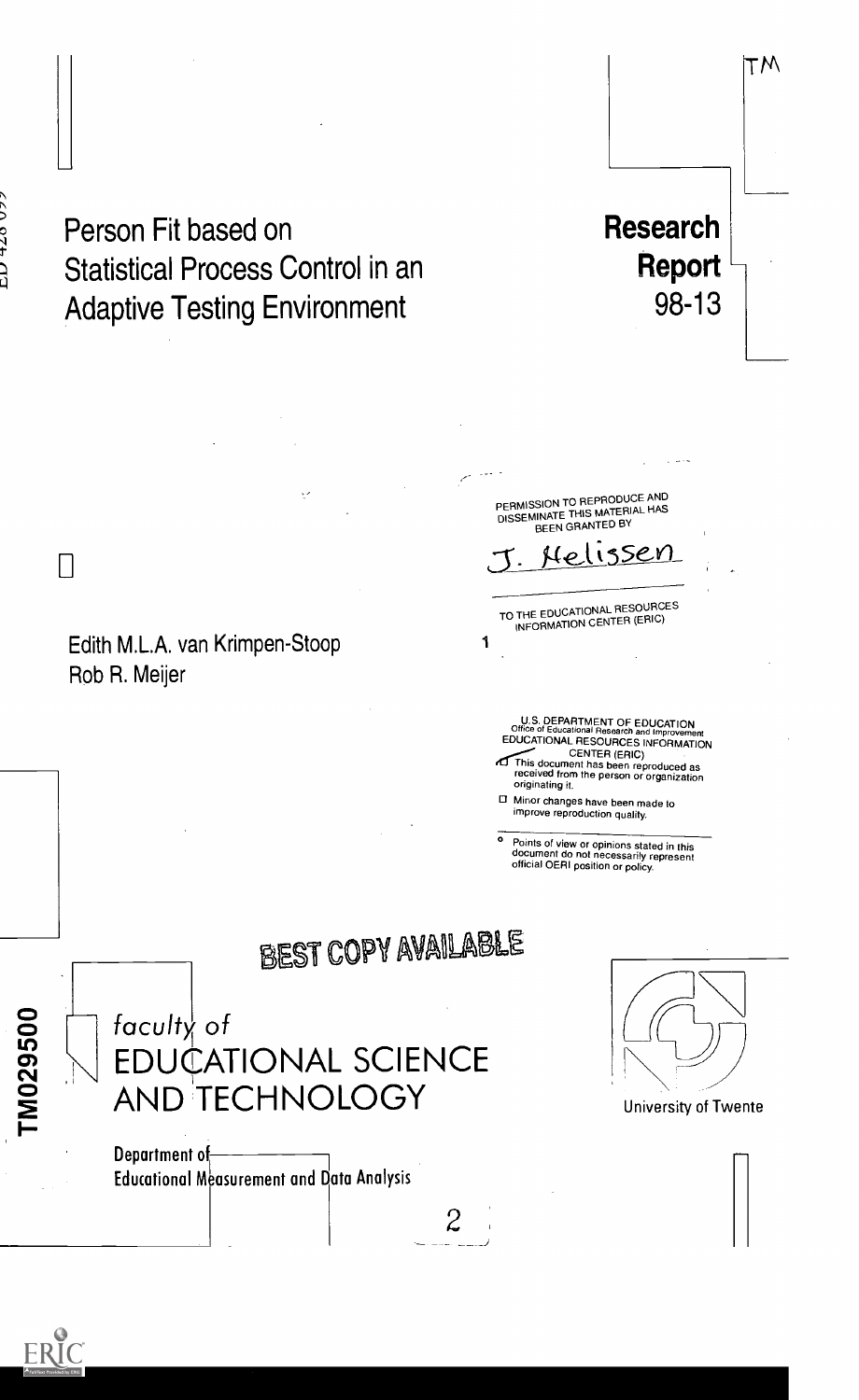LI

# Person Fit based on **Research** Statistical Process Control in an **Report**<br>Adaptive Testing Environment 98-13 **Adaptive Testing Environment**

Edith M.LA. van Krimpen-Stoop Rob R. Meijer

PERMISSION TO REPRODUCE AND DISSEMINATE THIS MATERIAL HAS<br>DISSEMINATE THIS MATERIAL HAS Nelissen TO THE EDUCATIONAL RESOURCES INFORMATION CENTER (ERIC) 1 U.S. DEPARTMENT OF EDUCATION<br>
EDUCATIONAL RESOURCES INFORMATION<br>
EDUCATIONAL RESOURCES INFORMATION<br>
CENTER (ERIC)<br>
This document has been reproduced as<br>
received from the person or organization<br>
originating it. El Minor changes have been made to improve reproduction quality ° Points of view or opinions stated in this document do not necessarily represent official OERI position or policy. BEST COPY AVAILABLE

M029500

faculty of EDUCATIONAL SCIENCE AND TECHNOLOGY

 $\mathbf{2}$ 

Department of Educational Measurement and Data Analysis



TM

University of Twente

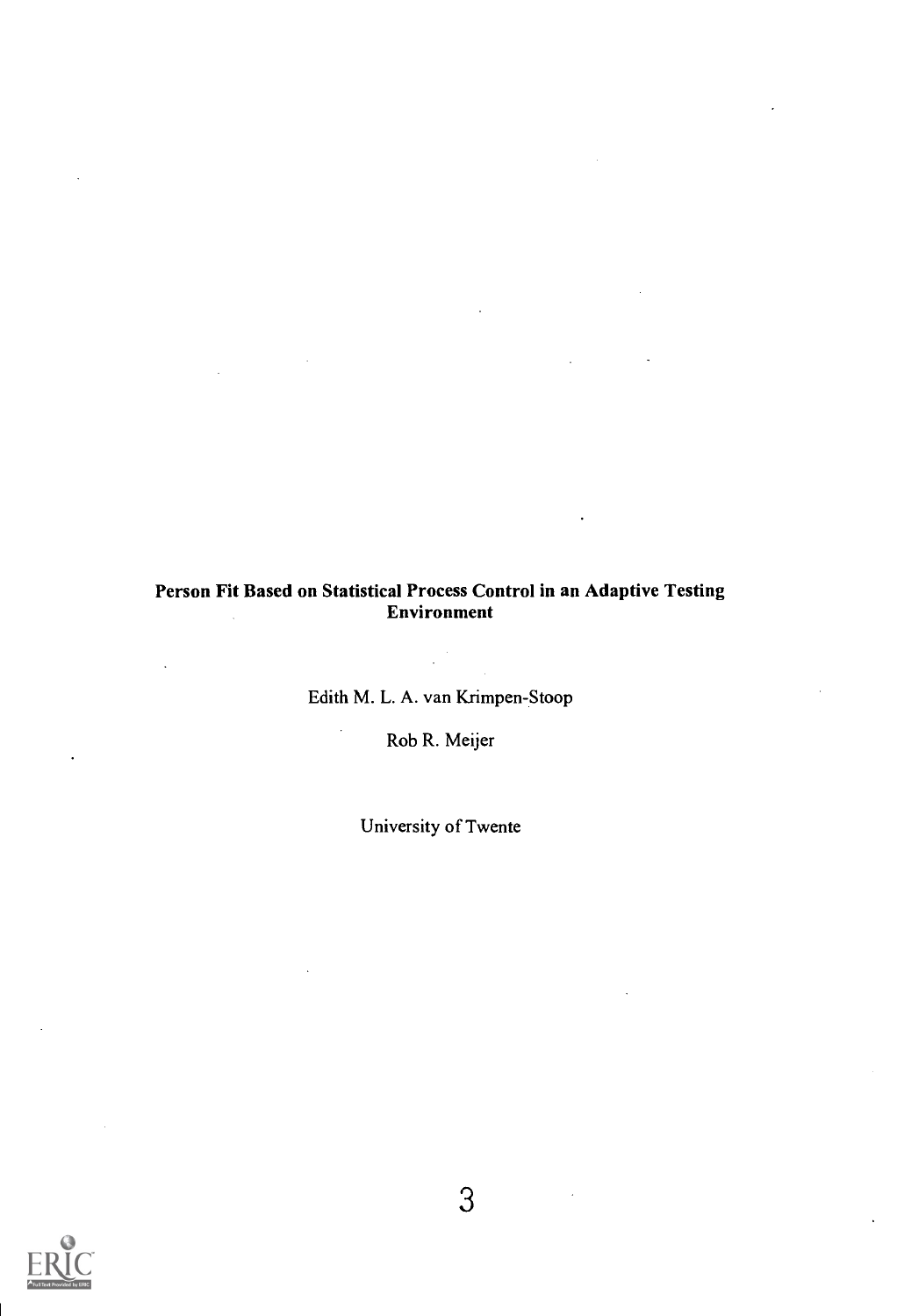## Person Fit Based on Statistical Process Control in an Adaptive Testing Environment

Edith M. L. A. van Krimpen-Stoop

l.

Rob R. Meijer

University of Twente

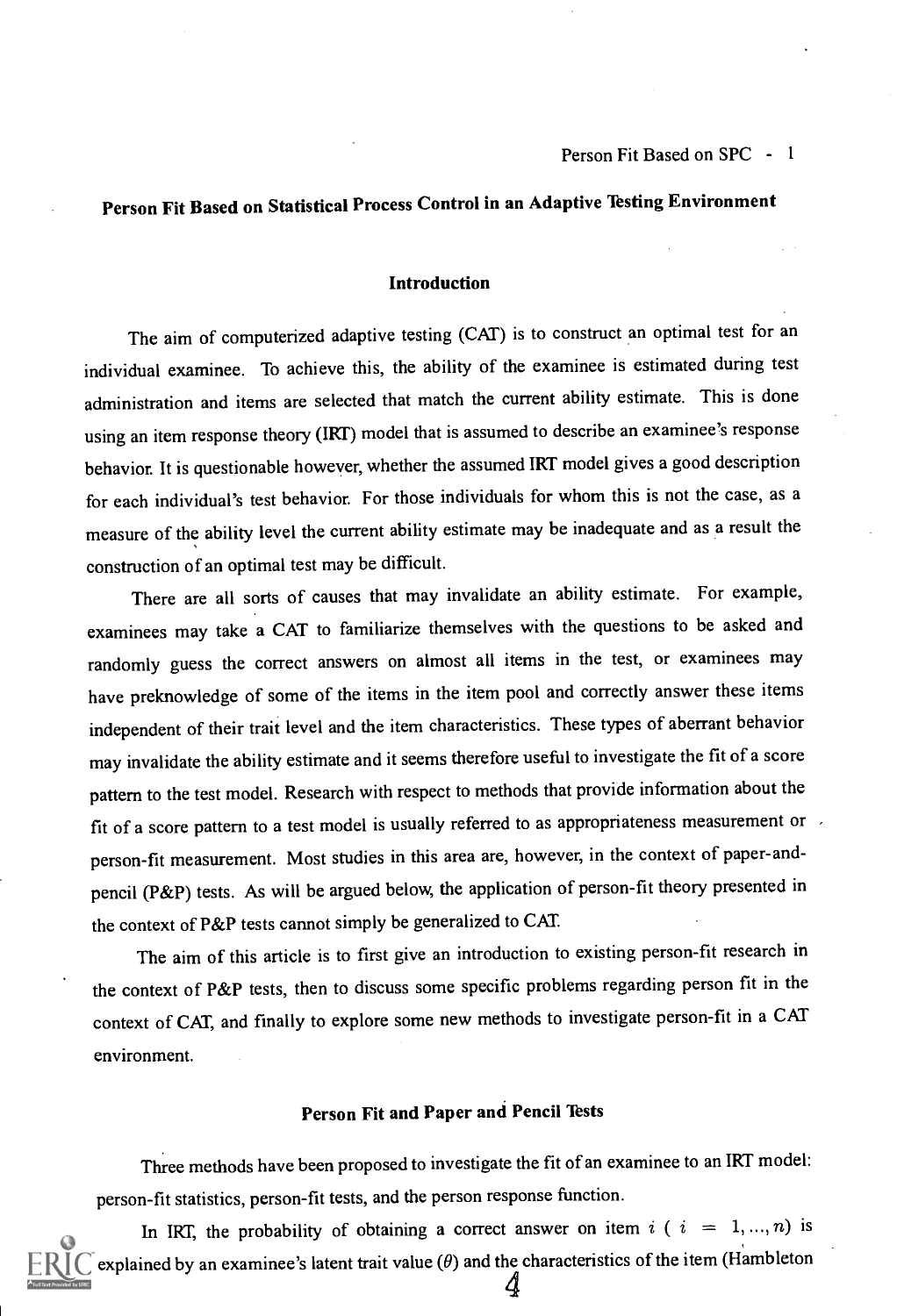# Person Fit Based on Statistical Process Control in an Adaptive Testing Environment

### Introduction

The aim of computerized adaptive testing (CAT) is to construct an optimal test for an individual examinee. To achieve this, the ability of the examinee is estimated during test administration and items are selected that match the current ability estimate. This is done using an item response theory (IRT) model that is assumed to describe an examinee's response behavior. It is questionable however, whether the assumed IRT model gives a good description for each individual's test behavior. For those individuals for whom this is not the case, as a measure of the ability level the current ability estimate may be inadequate and as a result the construction of an optimal test may be difficult.

There are all sorts of causes that may invalidate an ability estimate. For example, examinees may take a CAT to familiarize themselves with the questions to be asked and randomly guess the correct answers on almost all items in the test, or examinees may have preknowledge of some of the items in the item pool and correctly answer these items independent of their trait level and the item characteristics. These types of aberrant behavior may invalidate the ability estimate and it seems therefore useful to investigate the fit of a score pattern to the test model. Research with respect to methods that provide information about the fit of a score pattern to a test model is usually referred to as appropriateness measurement or person-fit measurement. Most studies in this area are, however, in the context of paper-andpencil (P&P) tests. As will be argued below, the application of person-fit theory presented in the context of P&P tests cannot simply be generalized to CAT.

The aim of this article is to first give an introduction to existing person-fit research in the context of P&P tests, then to discuss some specific problems regarding person fit in the context of CAT, and finally to explore some new methods to investigate person-fit in a CAT environment.

### Person Fit and Paper and Pencil Tests

Three methods have been proposed to investigate the fit of an examinee to an IRT model: person-fit statistics, person-fit tests, and the person response function.

In IRT, the probability of obtaining a correct answer on item  $i$  (  $i = 1, ..., n$ ) is explained by an examinee's latent trait value  $(\theta)$  and the characteristics of the item (Hambleton 4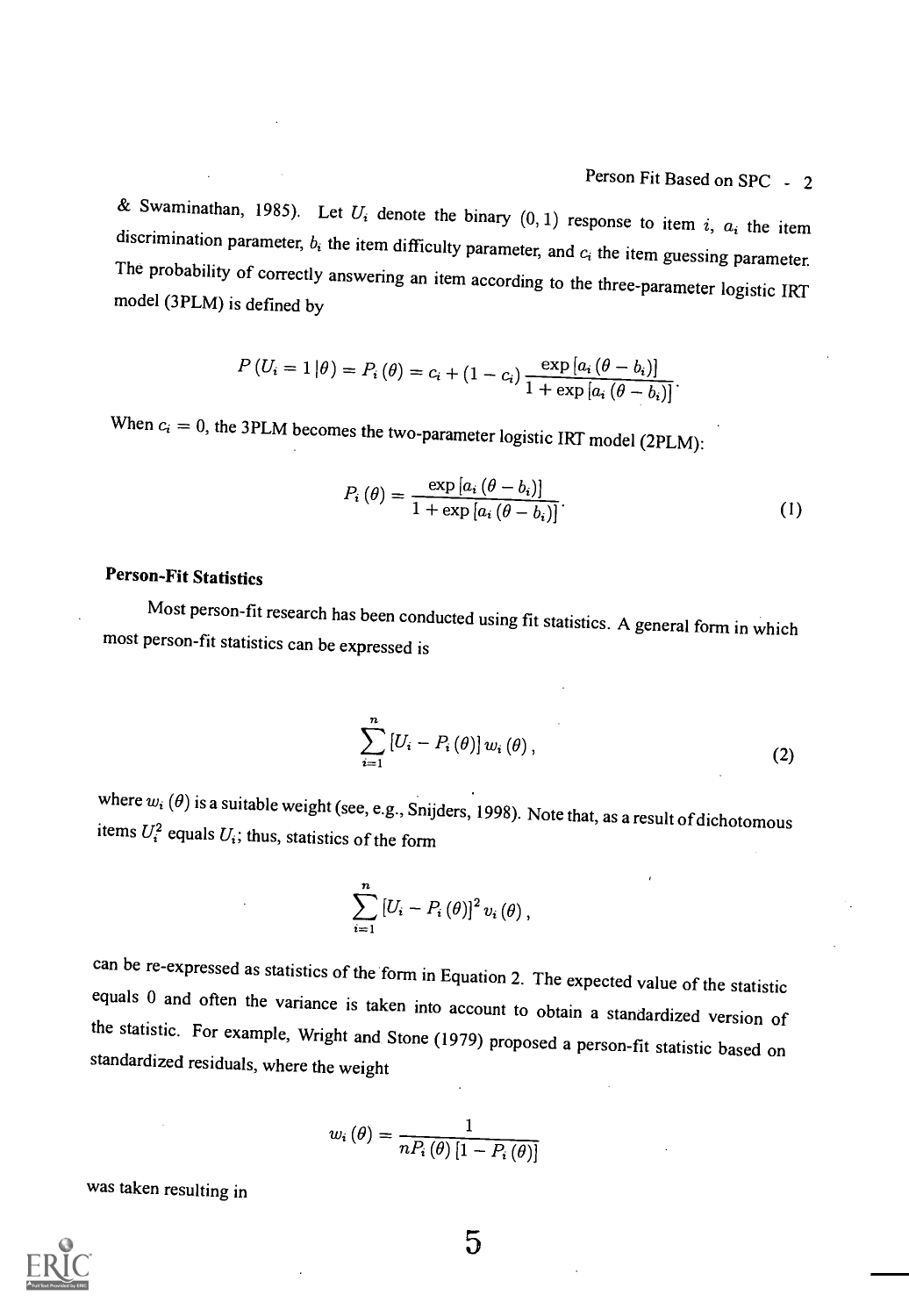& Swaminathan, 1985). Let  $U_i$  denote the binary  $(0, 1)$  response to item i,  $a_i$  the item discrimination parameter,  $b_i$  the item difficulty parameter, and  $c_i$  the item guessing parameter. The probability of correctly answering an item according to the three-parameter logistic IRT model (3PLM) is defined by

$$
P(U_i = 1 | \theta) = P_i(\theta) = c_i + (1 - c_i) \frac{\exp [a_i (\theta - b_i)]}{1 + \exp [a_i (\theta - b_i)]}.
$$

When  $c_i = 0$ , the 3PLM becomes the two-parameter logistic IRT model (2PLM):

$$
P_i(\theta) = \frac{\exp\left[a_i\left(\theta - b_i\right)\right]}{1 + \exp\left[a_i\left(\theta - b_i\right)\right]}.\tag{1}
$$

## Person-Fit Statistics

Most person-fit research has been conducted using fit statistics. A general form in which most person-fit statistics can be expressed is

$$
\sum_{i=1}^{n}\left[U_{i}-P_{i}\left(\theta\right)\right]w_{i}\left(\theta\right),\tag{2}
$$

where  $w_i(\theta)$  is a suitable weight (see, e.g., Snijders, 1998). Note that, as a result of dichotomous items  $U_i^2$  equals  $U_i$ ; thus, statistics of the form

$$
\sum_{i=1}^{n} \left[ U_i - P_i(\theta) \right]^2 v_i(\theta),
$$

can be re-expressed as statistics of the form in Equation 2. The expected value of the statistic equals 0 and often the variance is taken into account to obtain a standardized version of the statistic. For example, Wright

$$
w_{i}\left(\theta\right)=\frac{1}{nP_{i}\left(\theta\right)\left[1-P_{i}\left(\theta\right)\right]}
$$

was taken resulting in

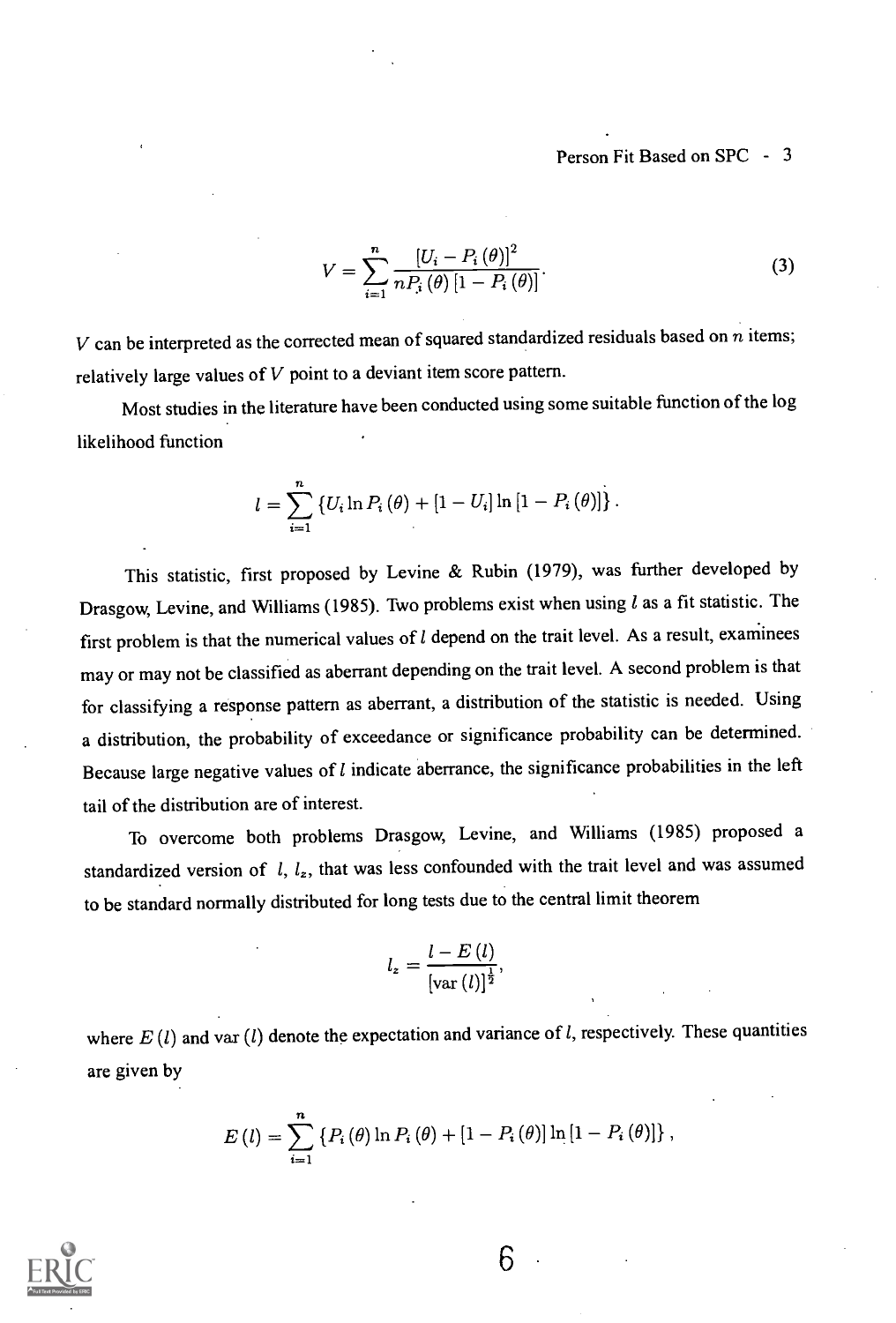## Person Fit Based on SPC - 3

$$
V = \sum_{i=1}^{n} \frac{\left[U_i - P_i(\theta)\right]^2}{n P_i(\theta) \left[1 - P_i(\theta)\right]}.
$$
\n(3)

V can be interpreted as the corrected mean of squared standardized residuals based on  $n$  items; relatively large values of  $V$  point to a deviant item score pattern.

Most studies in the literature have been conducted using some suitable function of the log likelihood function

$$
l = \sum_{i=1}^{n} \{ U_i \ln P_i(\theta) + [1 - U_i] \ln [1 - P_i(\theta)] \}.
$$

This statistic, first proposed by Levine & Rubin (1979), was further developed by Drasgow, Levine, and Williams (1985). Two problems exist when using  $l$  as a fit statistic. The first problem is that the numerical values of  $l$  depend on the trait level. As a result, examinees may or may not be classified as aberrant depending on the trait level. A second problem is that for classifying a response pattern as aberrant, a distribution of the statistic is needed. Using a distribution, the probability of exceedance or significance probability can be determined. Because large negative values of  $l$  indicate aberrance, the significance probabilities in the left tail of the distribution are of interest.

To overcome both problems Drasgow, Levine, and Williams (1985) proposed a standardized version of  $l, l_z$ , that was less confounded with the trait level and was assumed to be standard normally distributed for long tests due to the central limit theorem

$$
l_z = \frac{l - E(l)}{\left[\text{var}\left(l\right)\right]^{\frac{1}{2}}},
$$

where  $E(l)$  and var  $(l)$  denote the expectation and variance of l, respectively. These quantities are given by

$$
E(l) = \sum_{i=1}^{n} \left\{ P_i(\theta) \ln P_i(\theta) + [1 - P_i(\theta)] \ln [1 - P_i(\theta)] \right\},\,
$$

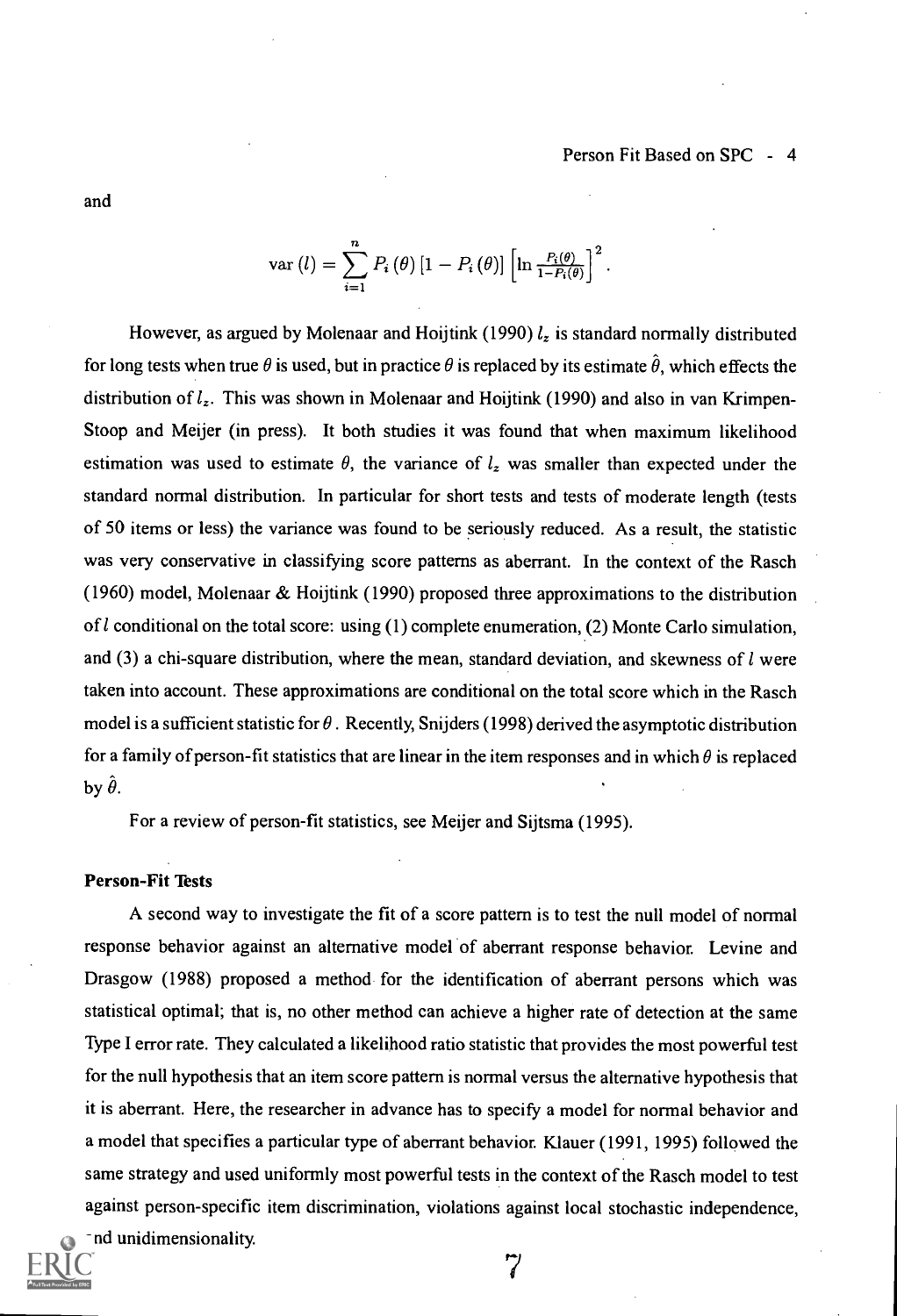$\text{var}\left(l\right)=\sum P_{i}\left(\theta\right)\left[1-P_{i}\left(\theta\right)\right]\left|\ln\frac{P_{i}(\theta)}{1-P_{i}\left(\theta\right)}\right|^{-1}.$  $i=1$ 

However, as argued by Molenaar and Hoijtink (1990)  $l_z$  is standard normally distributed for long tests when true  $\theta$  is used, but in practice  $\theta$  is replaced by its estimate  $\hat{\theta}$ , which effects the distribution of  $l_z$ . This was shown in Molenaar and Hoijtink (1990) and also in van Krimpen-Stoop and Meijer (in press). It both studies it was found that when maximum likelihood estimation was used to estimate  $\theta$ , the variance of  $l_z$  was smaller than expected under the standard normal distribution. In particular for short tests and tests of moderate length (tests of 50 items or less) the variance was found to be seriously reduced. As a result, the statistic was very conservative in classifying score patterns as aberrant. In the context of the Rasch (1960) model, Molenaar & Hoijtink (1990) proposed three approximations to the distribution of  $l$  conditional on the total score: using (1) complete enumeration, (2) Monte Carlo simulation, and (3) a chi-square distribution, where the mean, standard deviation, and skewness of  $l$  were taken into account. These approximations are conditional on the total score which in the Rasch model is a sufficient statistic for  $\theta$ . Recently, Snijders (1998) derived the asymptotic distribution for a family of person-fit statistics that are linear in the item responses and in which  $\theta$  is replaced by  $\hat{\theta}$ .

For a review of person-fit statistics, see Meijer and Sijtsma (1995).

#### Person-Fit Tests

A second way to investigate the fit of a score pattern is to test the null model of normal response behavior against an alternative model of aberrant response behavior. Levine and Drasgow (1988) proposed a method for the identification of aberrant persons which was statistical optimal; that is, no other method can achieve a higher rate of detection at the same Type I error rate. They calculated a likelihood ratio statistic that provides the most powerful test for the null hypothesis that an item score pattern is normal versus the alternative hypothesis that it is aberrant. Here, the researcher in advance has to specify a model for normal behavior and a model that specifies a particular type of aberrant behavior. Klauer (1991, 1995) followed the same strategy and used uniformly most powerful tests in the context of the Rasch model to test against person-specific item discrimination, violations against local stochastic independence, and unidimensionality.



7

and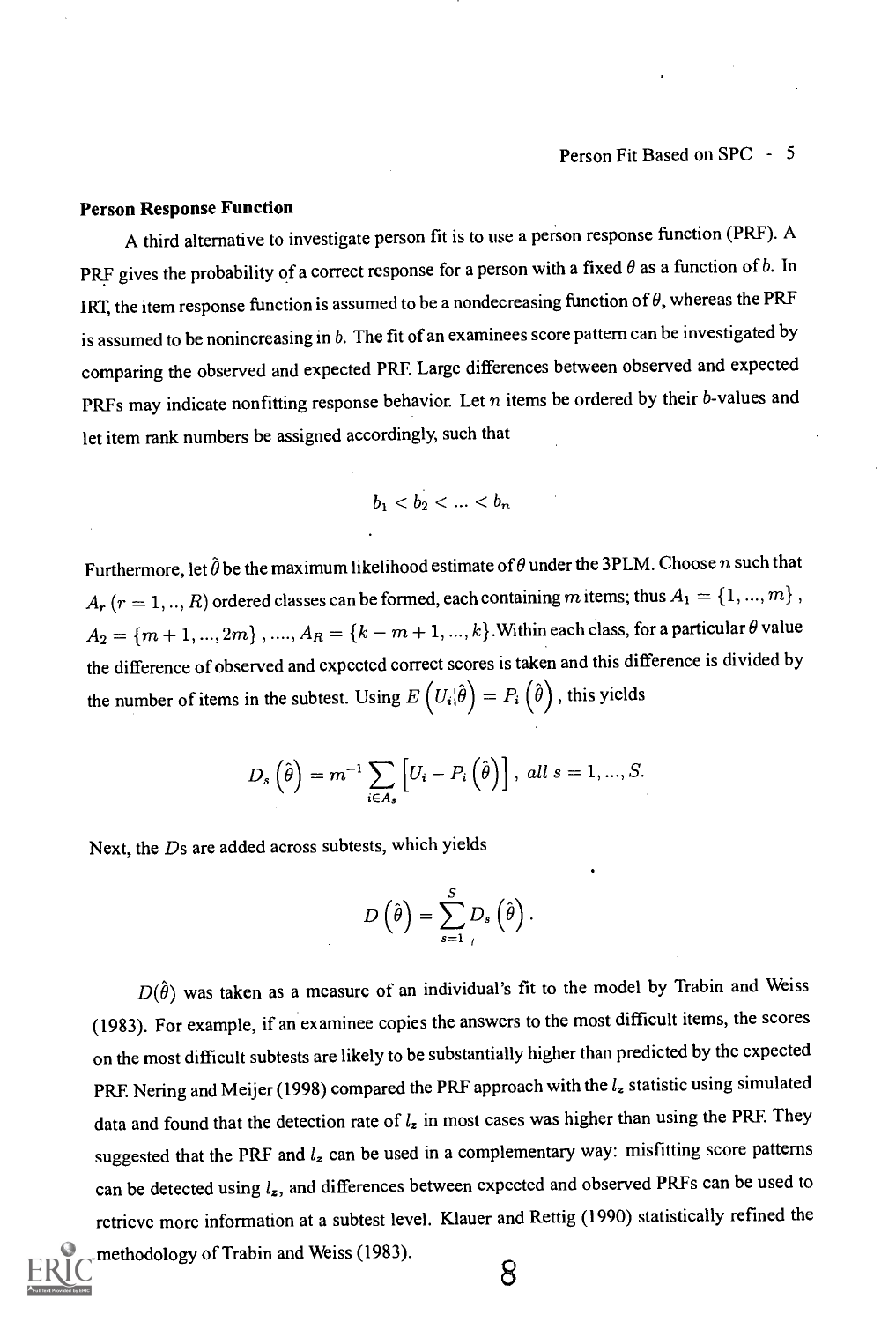#### Person Response Function

A third alternative to investigate person fit is to use a person response function (PRF). A PRF gives the probability of a correct response for a person with a fixed  $\theta$  as a function of b. In IRT, the item response function is assumed to be a nondecreasing function of  $\theta$ , whereas the PRF is assumed to be nonincreasing in b. The fit of an examinees score pattern can be investigated by comparing the observed and expected PRF. Large differences between observed and expected PRFs may indicate nonfitting response behavior. Let  $n$  items be ordered by their b-values and let item rank numbers be assigned accordingly, such that

$$
b_1
$$

Furthermore, let  $\hat{\theta}$  be the maximum likelihood estimate of  $\theta$  under the 3PLM. Choose n such that  $A_r$   $(r = 1, ..., R)$  ordered classes can be formed, each containing m items; thus  $A_1 = \{1, ..., m\}$ ,  $A_2 = \{m+1, ..., 2m\}$ , ...,  $A_R = \{k - m + 1, ..., k\}$ . Within each class, for a particular  $\theta$  value the difference of observed and expected correct scores is taken and this difference is divided by the number of items in the subtest. Using  $E\left(U_i|\hat{\theta}\right) = P_i\left(\hat{\theta}\right)$ , this yields

$$
D_s\left(\hat{\theta}\right) = m^{-1} \sum_{i \in A_s} \left[ U_i - P_i\left(\hat{\theta}\right) \right], \ all \ s = 1, ..., S.
$$

Next, the Ds are added across subtests, which yields

$$
D\left(\hat{\theta}\right) = \sum_{s=1}^{S} D_s\left(\hat{\theta}\right).
$$

 $D(\hat{\theta})$  was taken as a measure of an individual's fit to the model by Trabin and Weiss (1983). For example, if an examinee copies the answers to the most difficult items, the scores on the most difficult subtests are likely to be substantially higher than predicted by the expected PRF. Nering and Meijer (1998) compared the PRF approach with the  $l_z$  statistic using simulated data and found that the detection rate of  $l_z$  in most cases was higher than using the PRF. They suggested that the PRF and  $l_z$  can be used in a complementary way: misfitting score patterns can be detected using  $l_z$ , and differences between expected and observed PRFs can be used to retrieve more information at a subtest level. Klauer and Rettig (1990) statistically refined the methodology of Trabin and Weiss (1983).

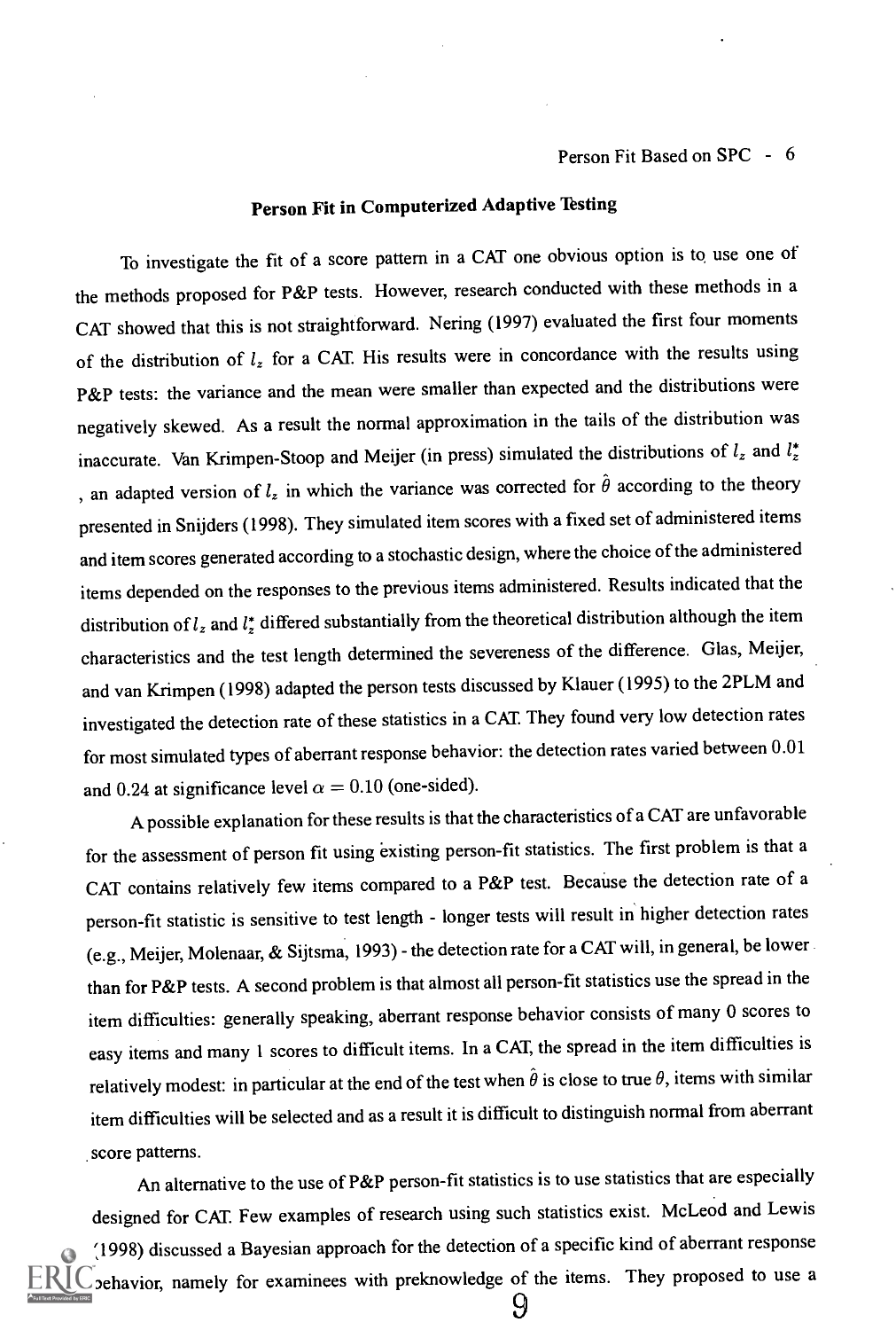# Person Fit in Computerized Adaptive Testing

To investigate the fit of a score pattern in a CAT one obvious option is to use one of the methods proposed for P&P tests. However, research conducted with these methods in a CAT showed that this is not straightforward. Nering (1997) evaluated the first four moments of the distribution of  $l_z$  for a CAT. His results were in concordance with the results using P&P tests: the variance and the mean were smaller than expected and the distributions were negatively skewed. As a result the normal approximation in the tails of the distribution was inaccurate. Van Krimpen-Stoop and Meijer (in press) simulated the distributions of  $l_z$  and  $l_z^*$ , an adapted version of  $l_z$  in which the variance was corrected for  $\hat{\theta}$  according to the theory presented in Snijders (1998). They simulated item scores with a fixed set of administered items and item scores generated according to a stochastic design, where the choice of the administered items depended on the responses to the previous items administered. Results indicated that the distribution of  $l_z$  and  $l_z^*$  differed substantially from the theoretical distribution although the item characteristics and the test length determined the severeness of the difference. Glas, Meijer, and van Krimpen (1998) adapted the person tests discussed by Klauer (1995) to the 2PLM and investigated the detection rate of these statistics in a CAT. They found very low detection rates for most simulated types of aberrant response behavior: the detection rates varied between 0.01 and 0.24 at significance level  $\alpha = 0.10$  (one-sided).

A possible explanation for these results is that the characteristics of a CAT are unfavorable for the assessment of person fit using existing person-fit statistics. The first problem is that a CAT contains relatively few items compared to a P&P test. Because the detection rate of a person-fit statistic is sensitive to test length - longer tests will result in higher detection rates (e.g., Meijer, Molenaar, & Sijtsma, 1993) - the detection rate for a CAT will, in general, be lower than for P&P tests. A second problem is that almost all person-fit statistics use the spread in the item difficulties: generally speaking, aberrant response behavior consists of many 0 scores to easy items and many 1 scores to difficult items. In a CAT, the spread in the item difficulties is relatively modest: in particular at the end of the test when  $\hat{\theta}$  is close to true  $\theta$ , items with similar item difficulties will be selected and as a result it is difficult to distinguish normal from aberrant score patterns.

An alternative to the use of P&P person-fit statistics is to use statistics that are especially designed for CAT Few examples of research using such statistics exist. McLeod and Lewis (1998) discussed a Bayesian approach for the detection of a specific kind of aberrant response behavior, namely for examinees with preknowledge of the items. They proposed to use a 9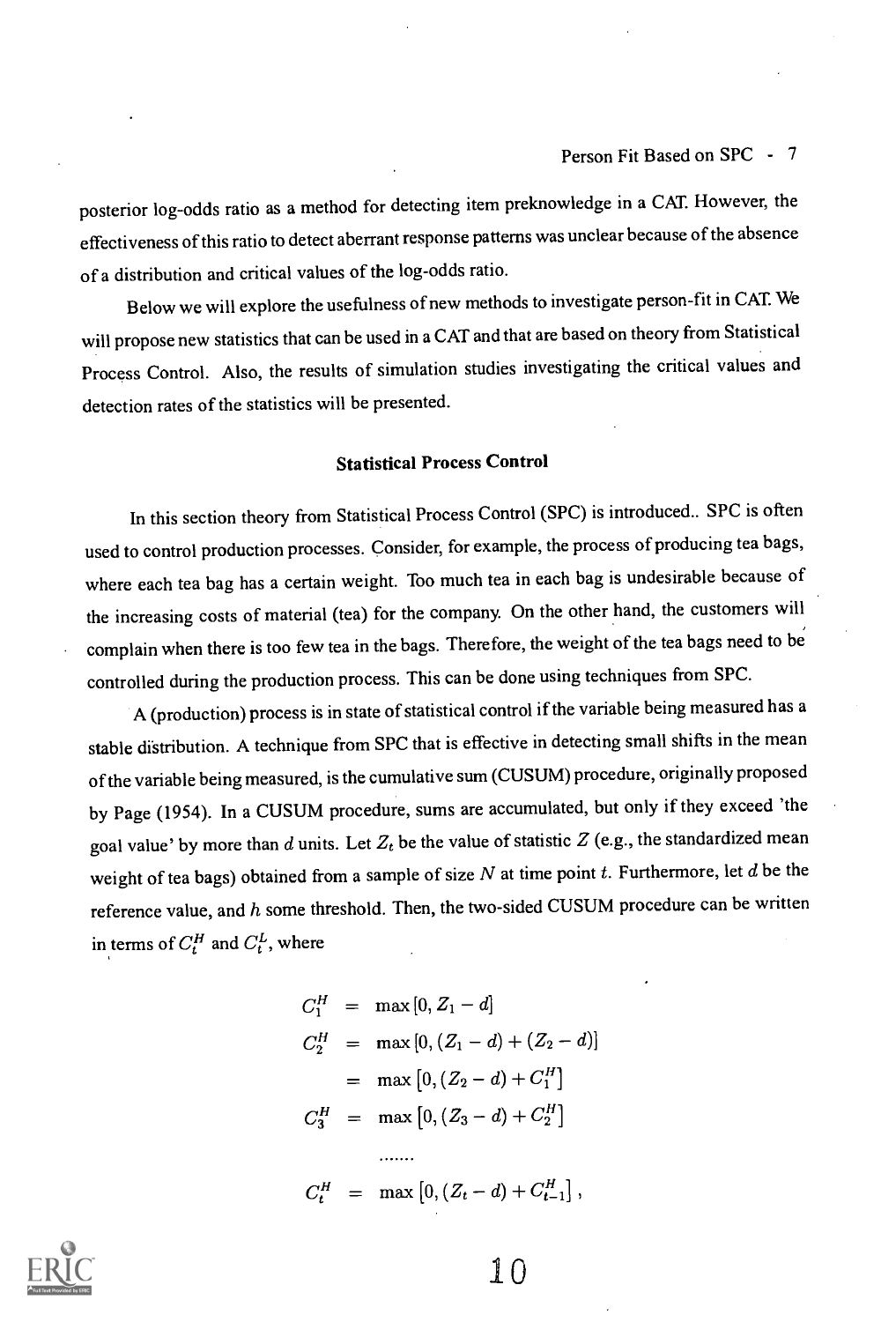posterior log-odds ratio as a method for detecting item preknowledge in a CAT However, the effectiveness of this ratio to detect aberrant response patterns was unclear because of the absence of a distribution and critical values of the log-odds ratio.

Below we will explore the usefulness of new methods to investigate person-fit in CAT We will propose new statistics that can be used in a CAT and that are based on theory from Statistical Process Control. Also, the results of simulation studies investigating the critical values and detection rates of the statistics will be presented.

## Statistical Process Control

In this section theory from Statistical Process Control (SPC) is introduced.. SPC is often used to control production processes. Consider, for example, the process of producing tea bags, where each tea bag has a certain weight. Too much tea in each bag is undesirable because of the increasing costs of material (tea) for the company. On the other hand, the customers will complain when there is too few tea in the bags. Therefore, the weight of the tea bags need to be controlled during the production process. This can be done using techniques from SPC.

A (production) process is in state of statistical control if the variable being measured has a stable distribution. A technique from SPC that is effective in detecting small shifts in the mean of the variable being measured, is the cumulative sum (CUSUM) procedure, originally proposed by Page (1954). In a CUSUM procedure, sums are accumulated, but only if they exceed 'the goal value' by more than d units. Let  $Z_t$  be the value of statistic Z (e.g., the standardized mean weight of tea bags) obtained from a sample of size  $N$  at time point  $t$ . Furthermore, let  $d$  be the reference value, and  $h$  some threshold. Then, the two-sided CUSUM procedure can be written in terms of  $C_t^H$  and  $C_t^L$ , where

$$
C_1^H = \max [0, Z_1 - d]
$$
  
\n
$$
C_2^H = \max [0, (Z_1 - d) + (Z_2 - d)]
$$
  
\n
$$
= \max [0, (Z_2 - d) + C_1^H]
$$
  
\n
$$
C_3^H = \max [0, (Z_3 - d) + C_2^H]
$$
  
\n........  
\n
$$
C_t^H = \max [0, (Z_t - d) + C_{t-1}^H],
$$



 $1<sub>0</sub>$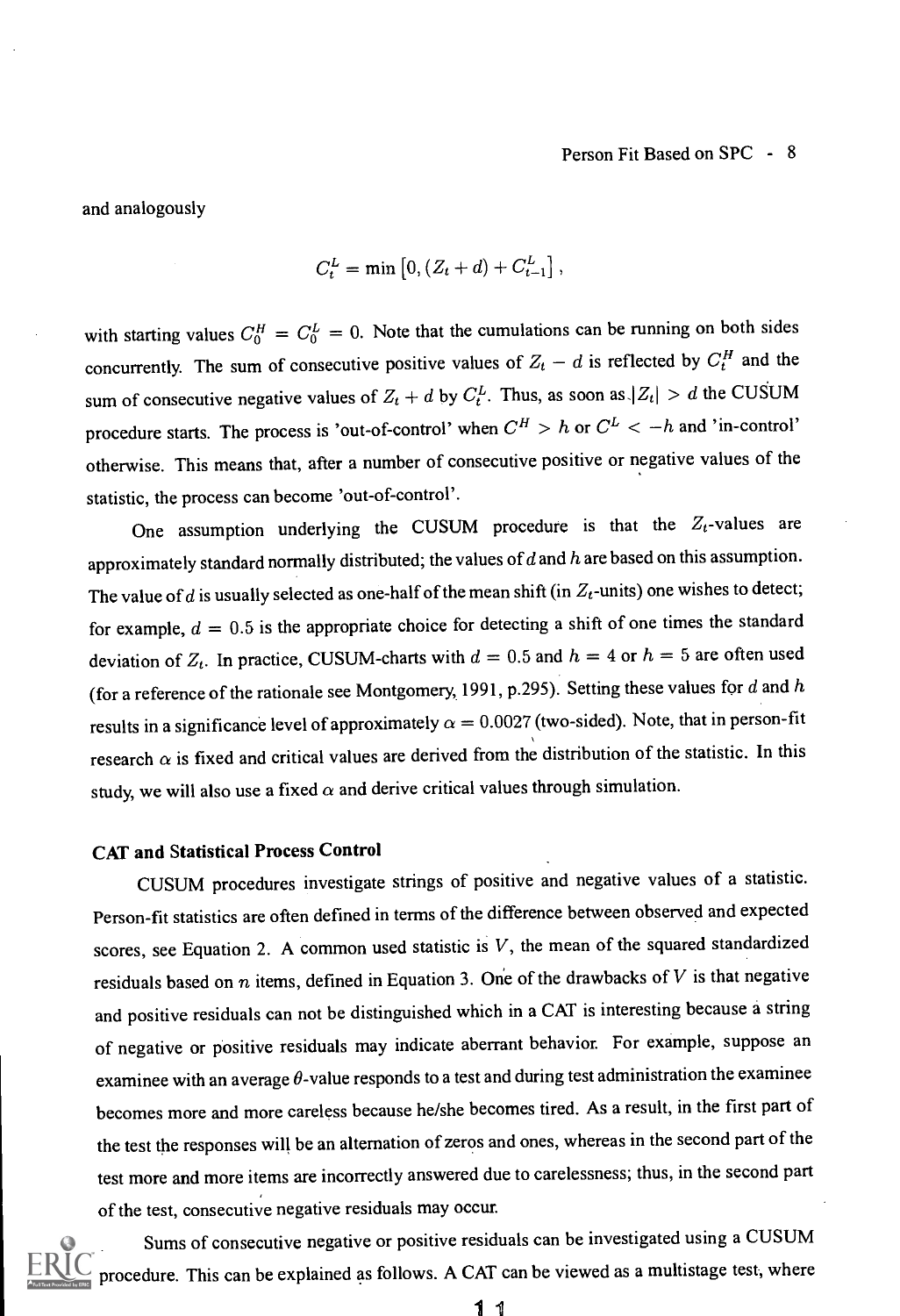and analogously

$$
C_t^L = \min\left[0, (Z_t + d) + C_{t-1}^L\right],
$$

with starting values  $C_0^H = C_0^L = 0$ . Note that the cumulations can be running on both sides concurrently. The sum of consecutive positive values of  $Z_t - d$  is reflected by  $C_t^H$  and the sum of consecutive negative values of  $Z_t + d$  by  $C_t^L$ . Thus, as soon as  $|Z_t| > d$  the CUSUM procedure starts. The process is 'out-of-control' when  $C^H > h$  or  $C^L < -h$  and 'in-control' otherwise. This means that, after a number of consecutive positive or negative values of the statistic, the process can become 'out-of-control'.

One assumption underlying the CUSUM procedure is that the  $Z_t$ -values are approximately standard normally distributed; the values of  $d$  and  $h$  are based on this assumption. The value of d is usually selected as one-half of the mean shift (in  $Z_t$ -units) one wishes to detect; for example,  $d = 0.5$  is the appropriate choice for detecting a shift of one times the standard deviation of  $Z_t$ . In practice, CUSUM-charts with  $d = 0.5$  and  $h = 4$  or  $h = 5$  are often used (for a reference of the rationale see Montgomery, 1991, p.295). Setting these values for d and h results in a significance level of approximately  $\alpha = 0.0027$  (two-sided). Note, that in person-fit research  $\alpha$  is fixed and critical values are derived from the distribution of the statistic. In this study, we will also use a fixed  $\alpha$  and derive critical values through simulation.

## CAT and Statistical Process Control

CUSUM procedures investigate strings of positive and negative values of a statistic. Person-fit statistics are often defined in terms of the difference between observed and expected scores, see Equation 2. A common used statistic is  $V$ , the mean of the squared standardized residuals based on  $n$  items, defined in Equation 3. One of the drawbacks of  $V$  is that negative and positive residuals can not be distinguished which in a CAT is interesting because a string of negative or positive residuals may indicate aberrant behavior. For example, suppose an examinee with an average  $\theta$ -value responds to a test and during test administration the examinee becomes more and more careless because he/she becomes tired. As a result, in the first part of the test the responses will be an alternation of zeros and ones, whereas in the second part of the test more and more items are incorrectly answered due to carelessness; thus, in the second part of the test, consecutive negative residuals may occur.

Sums of consecutive negative or positive residuals can be investigated using a CUSUM procedure. This can be explained as follows. A CAT can be viewed as a multistage test, where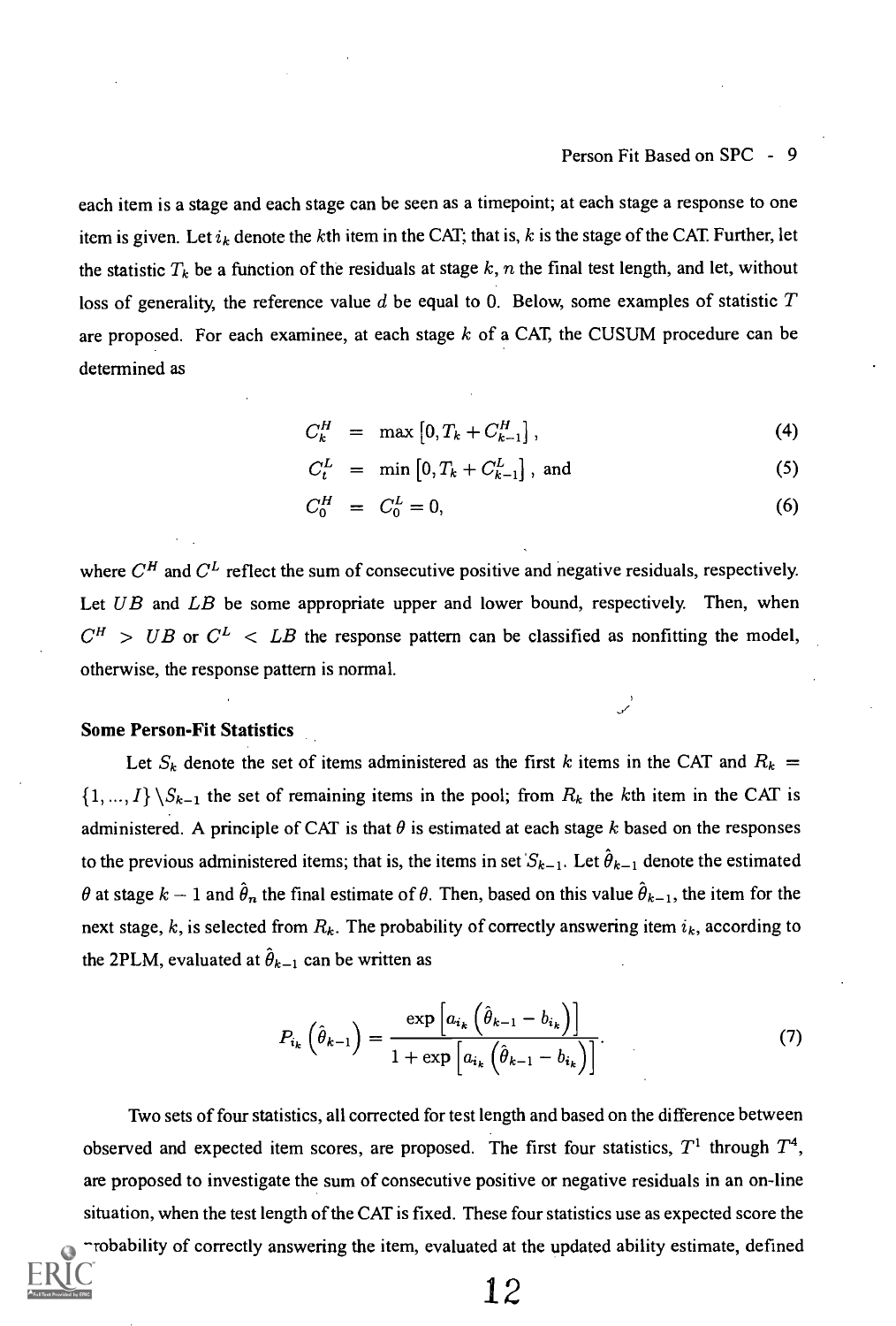each item is a stage and each stage can be seen as a timepoint; at each stage a response to one item is given. Let  $i_k$  denote the kth item in the CAT; that is, k is the stage of the CAT. Further, let the statistic  $T_k$  be a function of the residuals at stage k, n the final test length, and let, without loss of generality, the reference value d be equal to 0. Below, some examples of statistic  $T$ are proposed. For each examinee, at each stage  $k$  of a CAT, the CUSUM procedure can be determined as

$$
C_k^H = \max\left[0, T_k + C_{k-1}^H\right],\tag{4}
$$

$$
C_t^L = \min\left[0, T_k + C_{k-1}^L\right], \text{ and } (5)
$$

$$
C_0^H = C_0^L = 0,\t\t(6)
$$

where  $C^H$  and  $C^L$  reflect the sum of consecutive positive and negative residuals, respectively. Let  $UB$  and  $LB$  be some appropriate upper and lower bound, respectively. Then, when  $C^H$  > UB or  $C^L$  < LB the response pattern can be classified as nonfitting the model, otherwise, the response pattern is normal.

### Some Person-Fit Statistics

Let  $S_k$  denote the set of items administered as the first k items in the CAT and  $R_k =$  $\{1, ..., I\} \backslash S_{k-1}$  the set of remaining items in the pool; from  $R_k$  the kth item in the CAT is administered. A principle of CAT is that  $\theta$  is estimated at each stage k based on the responses to the previous administered items; that is, the items in set  $S_{k-1}$ . Let  $\hat{\theta}_{k-1}$  denote the estimated  $\theta$  at stage  $k-1$  and  $\hat{\theta}_n$  the final estimate of  $\theta$ . Then, based on this value  $\hat{\theta}_{k-1}$ , the item for the next stage, k, is selected from  $R_k$ . The probability of correctly answering item  $i_k$ , according to the 2PLM, evaluated at  $\hat{\theta}_{k-1}$  can be written as

$$
P_{i_k}\left(\hat{\theta}_{k-1}\right) = \frac{\exp\left[a_{i_k}\left(\hat{\theta}_{k-1} - b_{i_k}\right)\right]}{1 + \exp\left[a_{i_k}\left(\hat{\theta}_{k-1} - b_{i_k}\right)\right]}.\tag{7}
$$

Two sets of four statistics, all corrected for test length and based on the difference between observed and expected item scores, are proposed. The first four statistics,  $T^1$  through  $T^4$ , are proposed to investigate the sum of consecutive positive or negative residuals in an on-line situation, when the test length of the CAT is fixed. These four statistics use as expected score the rrobability of correctly answering the item, evaluated at the updated ability estimate, defined

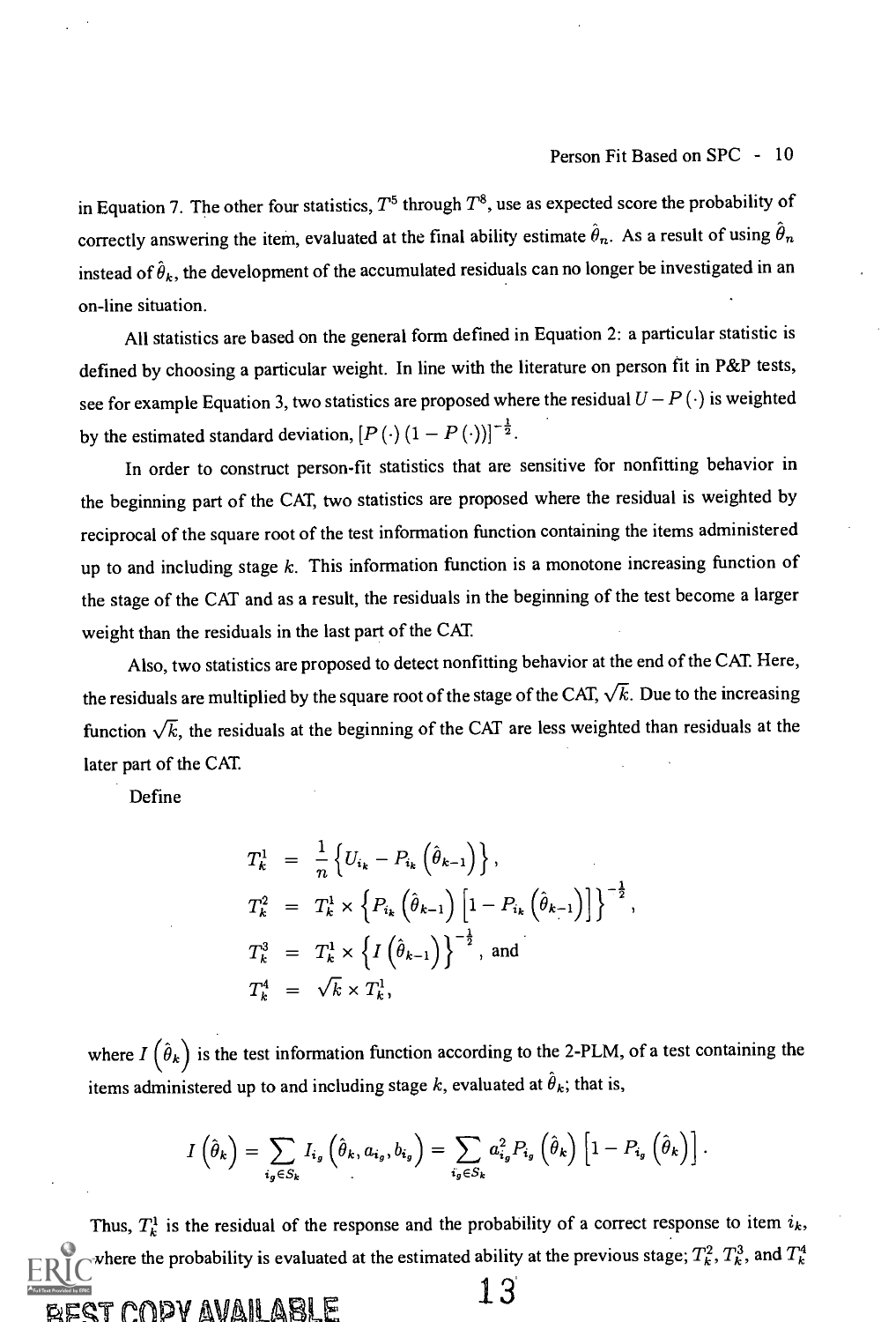in Equation 7. The other four statistics,  $T^5$  through  $T^8$ , use as expected score the probability of correctly answering the item, evaluated at the final ability estimate  $\hat{\theta}_n$ . As a result of using  $\hat{\theta}_n$ instead of  $\hat{\theta}_k$ , the development of the accumulated residuals can no longer be investigated in an on-line situation.

All statistics are based on the general form defined in Equation 2: a particular statistic is defined by choosing a particular weight. In line with the literature on person fit in P&P tests, see for example Equation 3, two statistics are proposed where the residual  $U - P(\cdot)$  is weighted by the estimated standard deviation,  $[P(\cdot)(1-P(\cdot))]^{-\frac{1}{2}}$ .

In order to construct person-fit statistics that are sensitive for nonfitting behavior in the beginning part of the CAT, two statistics are proposed where the residual is weighted by reciprocal of the square root of the test information function containing the items administered up to and including stage  $k$ . This information function is a monotone increasing function of the stage of the CAT and as a result, the residuals in the beginning of the test become a larger weight than the residuals in the last part of the CAT

Also, two statistics are proposed to detect nonfitting behavior at the end of the CAT Here, the residuals are multiplied by the square root of the stage of the CAT,  $\sqrt{k}$ . Due to the increasing function  $\sqrt{k}$ , the residuals at the beginning of the CAT are less weighted than residuals at the later part of the CAT

Define

$$
T_{k}^{1} = \frac{1}{n} \left\{ U_{i_{k}} - P_{i_{k}} \left( \hat{\theta}_{k-1} \right) \right\},
$$
  
\n
$$
T_{k}^{2} = T_{k}^{1} \times \left\{ P_{i_{k}} \left( \hat{\theta}_{k-1} \right) \left[ 1 - P_{i_{k}} \left( \hat{\theta}_{k-1} \right) \right] \right\}^{-\frac{1}{2}},
$$
  
\n
$$
T_{k}^{3} = T_{k}^{1} \times \left\{ I \left( \hat{\theta}_{k-1} \right) \right\}^{-\frac{1}{2}},
$$
 and  
\n
$$
T_{k}^{4} = \sqrt{k} \times T_{k}^{1},
$$

where  $I(\hat{\theta}_k)$  is the test information function according to the 2-PLM, of a test containing the items administered up to and including stage k, evaluated at  $\hat{\theta}_k$ ; that is,

$$
I\left(\hat{\theta}_k\right) = \sum_{i_g \in S_k} I_{i_g} \left(\hat{\theta}_k, a_{i_g}, b_{i_g}\right) = \sum_{i_g \in S_k} a_{i_g}^2 P_{i_g} \left(\hat{\theta}_k\right) \left[1 - P_{i_g} \left(\hat{\theta}_k\right)\right].
$$

Thus,  $T_k^1$  is the residual of the response and the probability of a correct response to item  $i_k$ , where the probability is evaluated at the estimated ability at the previous stage;  $T_k^2$ ,  $T_k^3$ , and  $T_k^4$  $\frac{13}{2}$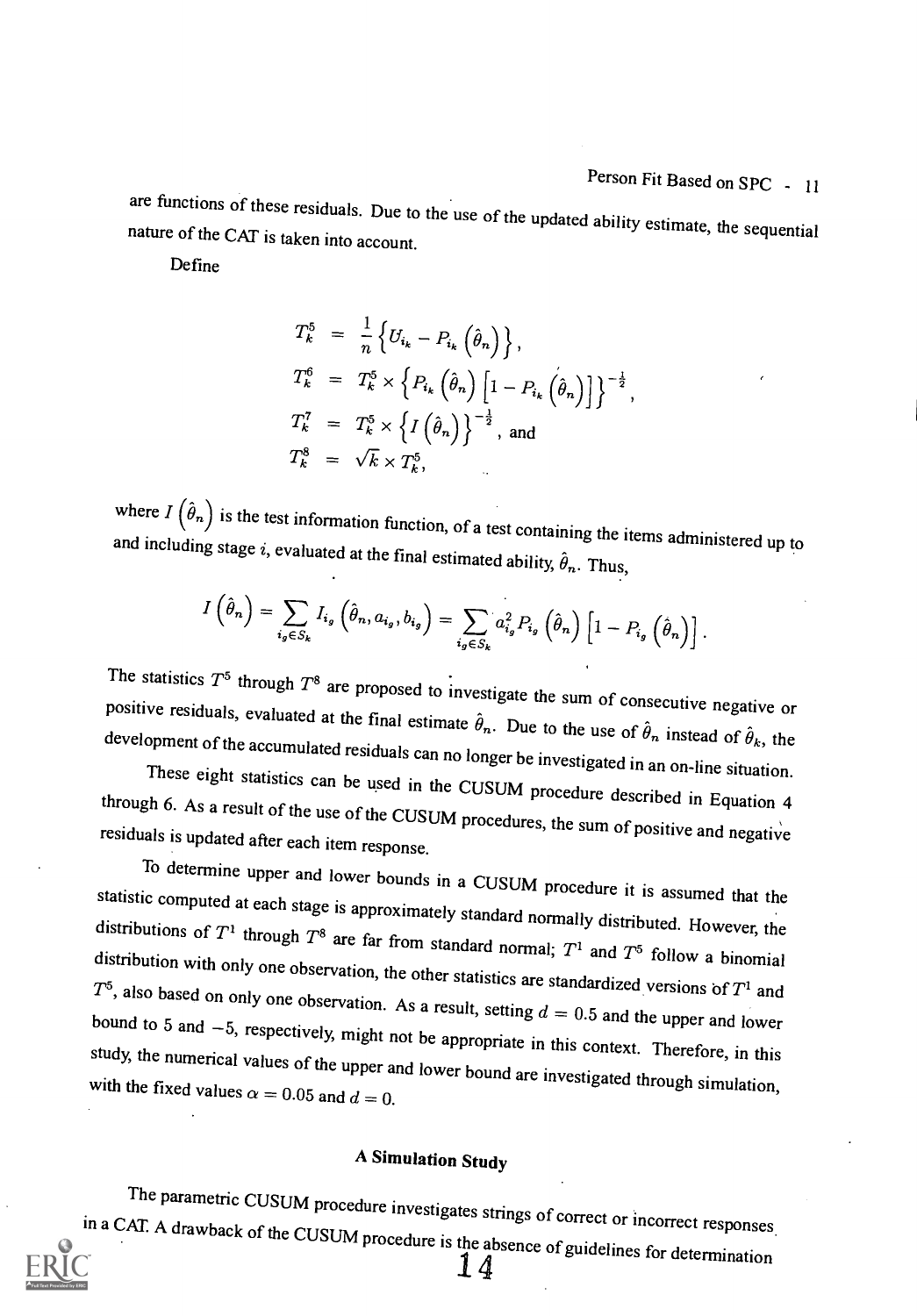are functions of these residuals. Due to the use of the updated ability estimate, the sequential nature of the CAT is taken into account.

Define

$$
T_k^5 = \frac{1}{n} \left\{ U_{i_k} - P_{i_k} \left( \hat{\theta}_n \right) \right\},
$$
  
\n
$$
T_k^6 = T_k^5 \times \left\{ P_{i_k} \left( \hat{\theta}_n \right) \left[ 1 - P_{i_k} \left( \hat{\theta}_n \right) \right] \right\}^{-\frac{1}{2}},
$$
  
\n
$$
T_k^7 = T_k^5 \times \left\{ I \left( \hat{\theta}_n \right) \right\}^{-\frac{1}{2}},
$$
 and  
\n
$$
T_k^8 = \sqrt{k} \times T_k^5,
$$

where  $I(\hat{\theta}_n)$  is the test information function, of a test containing the items administered up to and including stage i, evaluated at the final estimated ability,  $\hat{\theta}_n$ . Thus,

$$
I\left(\hat{\theta}_{n}\right)=\sum_{i_{g}\in S_{k}}I_{i_{g}}\left(\hat{\theta}_{n},a_{i_{g}},b_{i_{g}}\right)=\sum_{i_{g}\in S_{k}}a_{i_{g}}^{2}P_{i_{g}}\left(\hat{\theta}_{n}\right)\left[1-P_{i_{g}}\left(\hat{\theta}_{n}\right)\right].
$$

The statistics  $T^5$  through  $T^8$  are proposed to investigate the sum of consecutive negative or<br>positive residuals, evaluated at the final estimate  $\hat{\theta}_n$ . Due to the use of  $\hat{\theta}_n$  instead of  $\hat{\theta}_k$ , the<br>developme

statistic computed at each stage is approximately standard normally distributed. However, the<br>distributions of  $T^1$  through  $T^8$  are far from standard normal;  $T^1$  and  $T^5$  follow a binomial<br>distribution with only one study, the numerical values of the upper and lower bound are investigated through simulation, with the fixed values  $\alpha = 0.05$  and  $d = 0$ .

# A Simulation Study

The parametric CUSUM procedure investigates strings of correct or incorrect responses in a CAT. A drawback of the CUSUM procedure is the absence of guidelines for determination

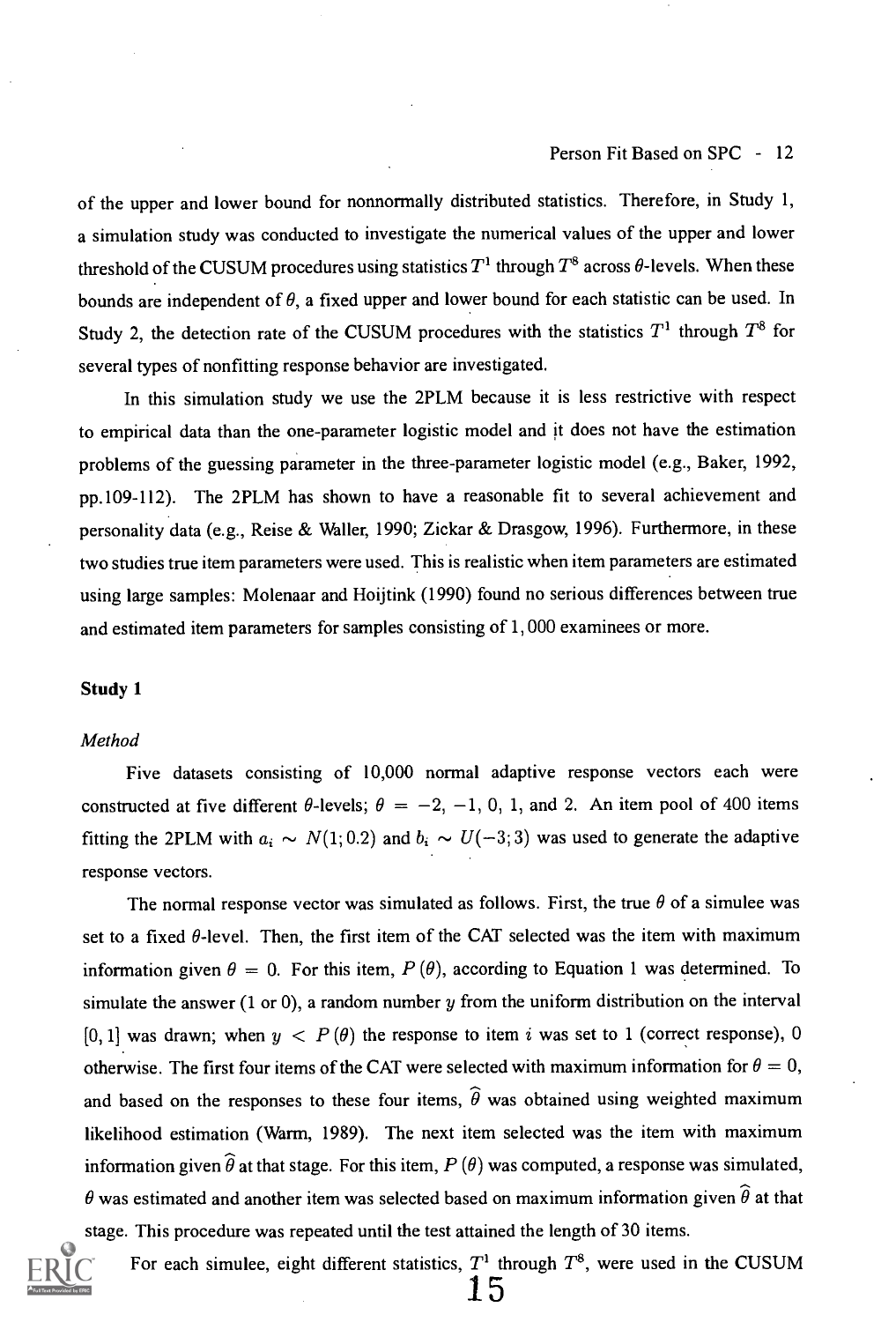of the upper and lower bound for nonnormally distributed statistics. Therefore, in Study 1, a simulation study was conducted to investigate the numerical values of the upper and lower threshold of the CUSUM procedures using statistics  $T<sup>1</sup>$  through  $T<sup>8</sup>$  across  $\theta$ -levels. When these bounds are independent of  $\theta$ , a fixed upper and lower bound for each statistic can be used. In Study 2, the detection rate of the CUSUM procedures with the statistics  $T<sup>1</sup>$  through  $T<sup>8</sup>$  for several types of nonfitting response behavior are investigated.

In this simulation study we use the 2PLM because it is less restrictive with respect to empirical data than the one-parameter logistic model and it does not have the estimation problems of the guessing parameter in the three-parameter logistic model (e.g., Baker, 1992, pp.109-112). The 2PLM has shown to have a reasonable fit to several achievement and personality data (e.g., Reise & Waller, 1990; Zickar & Drasgow, 1996). Furthermore, in these two studies true item parameters were used. This is realistic when item parameters are estimated using large samples: Molenaar and Hoijtink (1990) found no serious differences between true and estimated item parameters for samples consisting of 1, 000 examinees or more.

#### Study 1

#### Method

Five datasets consisting of 10,000 normal adaptive response vectors each were constructed at five different  $\theta$ -levels;  $\theta = -2, -1, 0, 1,$  and 2. An item pool of 400 items fitting the 2PLM with  $a_i \sim N(1; 0.2)$  and  $b_i \sim U(-3; 3)$  was used to generate the adaptive response vectors.

The normal response vector was simulated as follows. First, the true  $\theta$  of a simulee was set to a fixed  $\theta$ -level. Then, the first item of the CAT selected was the item with maximum information given  $\theta = 0$ . For this item,  $P(\theta)$ , according to Equation 1 was determined. To simulate the answer  $(1 \text{ or } 0)$ , a random number  $y$  from the uniform distribution on the interval [0, 1] was drawn; when  $y < P(\theta)$  the response to item i was set to 1 (correct response), 0 otherwise. The first four items of the CAT were selected with maximum information for  $\theta = 0$ , and based on the responses to these four items,  $\hat{\theta}$  was obtained using weighted maximum likelihood estimation (Warm, 1989). The next item selected was the item with maximum information given  $\widehat{\theta}$  at that stage. For this item,  $P(\theta)$  was computed, a response was simulated,  $\theta$  was estimated and another item was selected based on maximum information given  $\widehat{\theta}$  at that stage. This procedure was repeated until the test attained the length of 30 items.



For each simulee, eight different statistics,  $T<sup>1</sup>$  through  $T<sup>8</sup>$ , were used in the CUSUM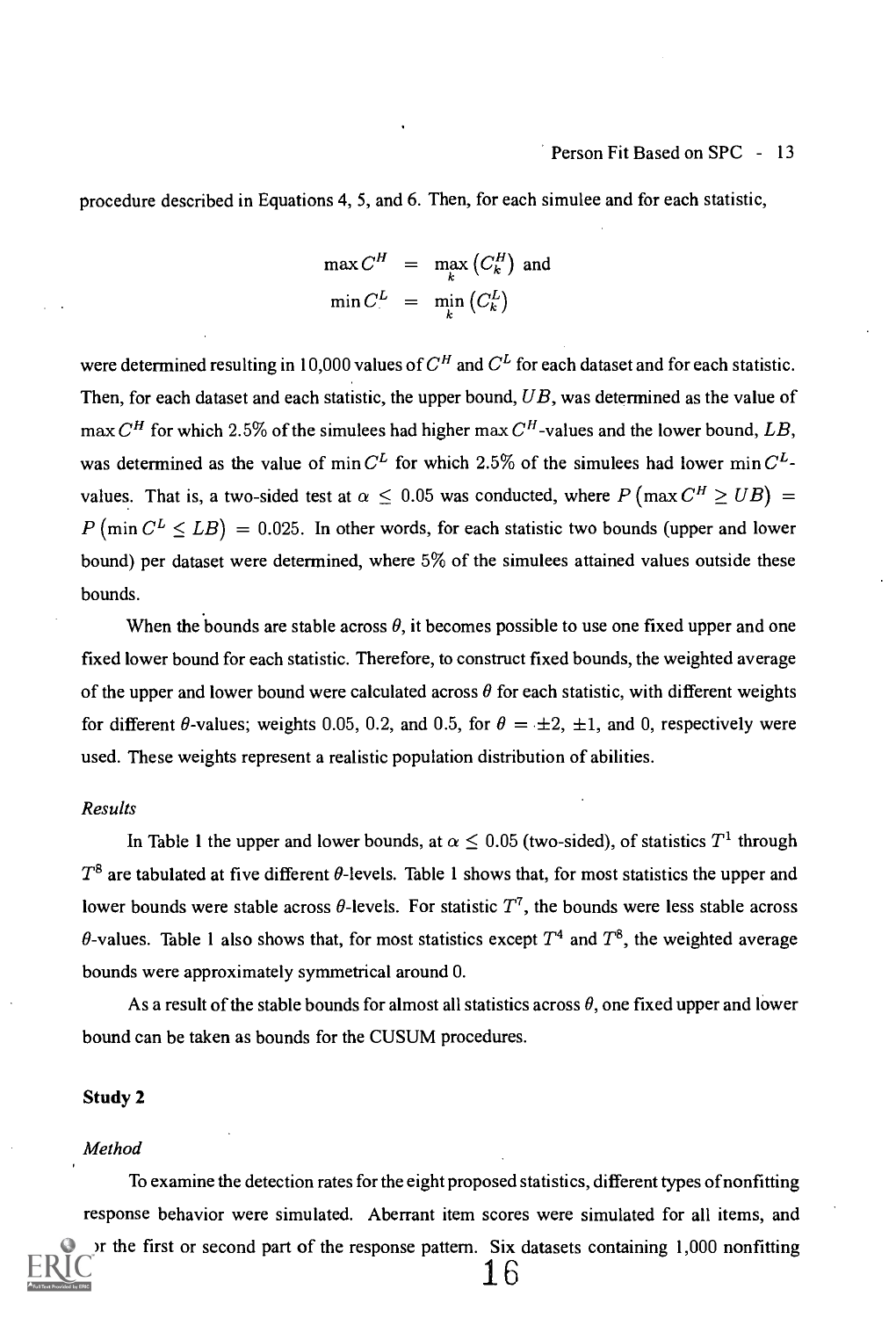## Person Fit Based on SPC - 13

procedure described in Equations 4, 5, and 6. Then, for each simulee and for each statistic,

$$
\max C^H = \max_{k} (C_k^H) \text{ and}
$$
  

$$
\min C^L = \min_{k} (C_k^L)
$$

were determined resulting in 10,000 values of  $C^H$  and  $C^L$  for each dataset and for each statistic. Then, for each dataset and each statistic, the upper bound,  $UB$ , was determined as the value of max  $C<sup>H</sup>$  for which 2.5% of the simulees had higher max  $C<sup>H</sup>$ -values and the lower bound, LB, was determined as the value of min  $C<sup>L</sup>$  for which 2.5% of the simulees had lower min  $C<sup>L</sup>$ values. That is, a two-sided test at  $\alpha \leq 0.05$  was conducted, where  $P(\max C^H \geq UB)$  =  $P(\min C^L \leq LB) = 0.025$ . In other words, for each statistic two bounds (upper and lower bound) per dataset were determined, where 5% of the simulees attained values outside these bounds.

When the bounds are stable across  $\theta$ , it becomes possible to use one fixed upper and one fixed lower bound for each statistic. Therefore, to construct fixed bounds, the weighted average of the upper and lower bound were calculated across  $\theta$  for each statistic, with different weights for different  $\theta$ -values; weights 0.05, 0.2, and 0.5, for  $\theta = \pm 2, \pm 1$ , and 0, respectively were used. These weights represent a realistic population distribution of abilities.

#### Results

In Table 1 the upper and lower bounds, at  $\alpha \leq 0.05$  (two-sided), of statistics  $T^1$  through  $T^8$  are tabulated at five different  $\theta$ -levels. Table 1 shows that, for most statistics the upper and lower bounds were stable across  $\theta$ -levels. For statistic  $T^7$ , the bounds were less stable across  $\theta$ -values. Table 1 also shows that, for most statistics except  $T^4$  and  $T^8$ , the weighted average bounds were approximately symmetrical around 0.

As a result of the stable bounds for almost all statistics across  $\theta$ , one fixed upper and lower bound can be taken as bounds for the CUSUM procedures.

#### Study 2

#### Method

To examine the detection rates for the eight proposed statistics, different types of nonfitting response behavior were simulated. Aberrant item scores were simulated for all items, and or the first or second part of the response pattern. Six datasets containing 1,000 nonfitting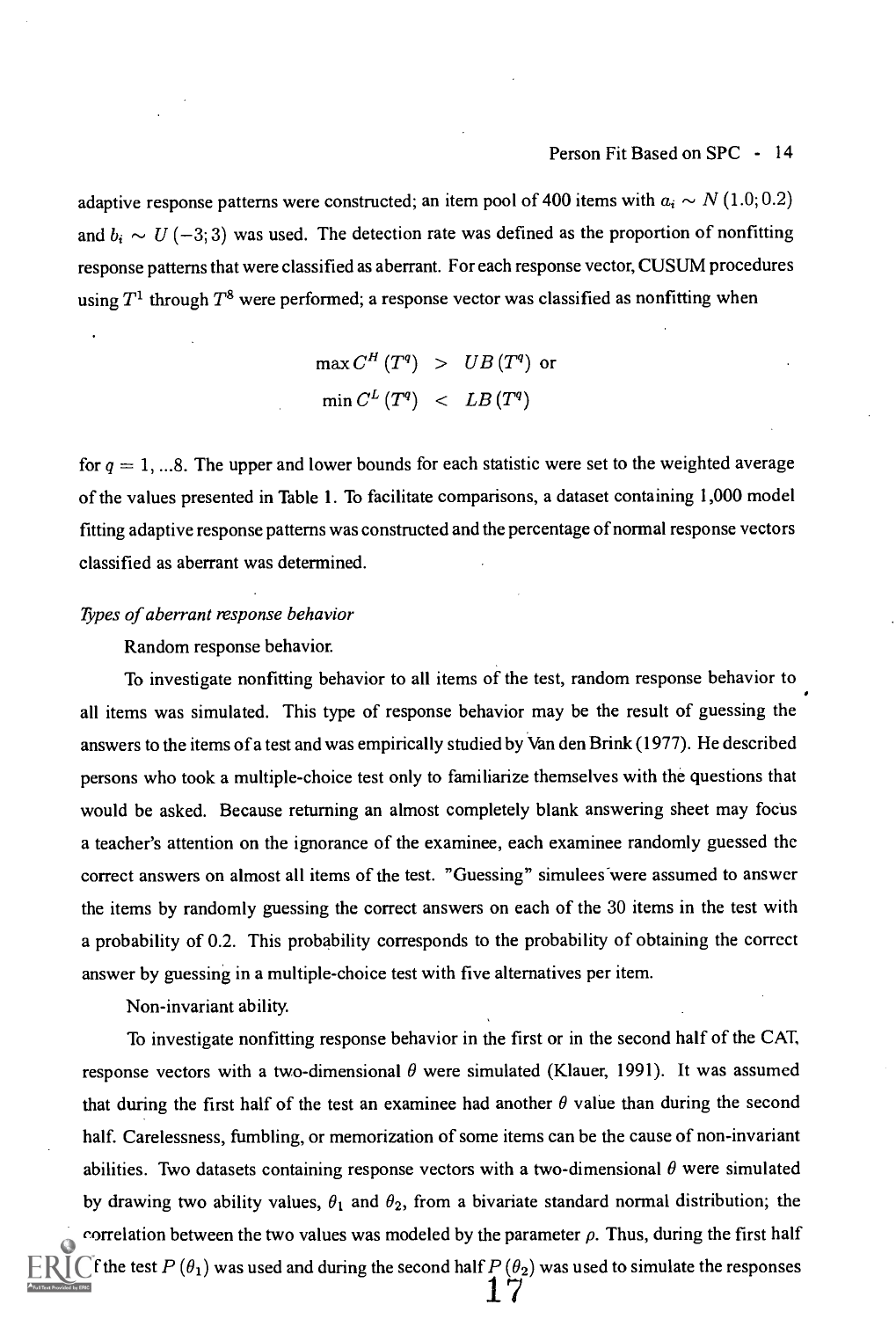adaptive response patterns were constructed; an item pool of 400 items with  $a_i \sim N (1.0; 0.2)$ and  $b_i \sim U (-3, 3)$  was used. The detection rate was defined as the proportion of nonfitting response patterns that were classified as aberrant. For each response vector, CUSUM procedures using  $T^1$  through  $T^8$  were performed; a response vector was classified as nonfitting when

$$
\begin{array}{lcl} \max C^H \left( T^q \right) & > & UB \left( T^q \right) \; \text{or} \\[2mm] \min C^L \left( T^q \right) & < & LB \left( T^q \right) \end{array}
$$

for  $q = 1, \dots 8$ . The upper and lower bounds for each statistic were set to the weighted average of the values presented in Table 1. To facilitate comparisons, a dataset containing 1,000 model fitting adaptive response patterns was constructed and the percentage of normal response vectors classified as aberrant was determined.

#### Types of aberrant response behavior

Random response behavior.

To investigate nonfitting behavior to all items of the test, random response behavior to all items was simulated. This type of response behavior may be the result of guessing the answers to the items of a test and was empirically studied by Van den Brink (1977). He described persons who took a multiple-choice test only to familiarize themselves with the questions that would be asked. Because returning an almost completely blank answering sheet may focus a teacher's attention on the ignorance of the examinee, each examinee randomly guessed the correct answers on almost all items of the test. "Guessing" simulees "were assumed to answer the items by randomly guessing the correct answers on each of the 30 items in the test with a probability of 0.2. This probability corresponds to the probability of obtaining the correct answer by guessing in a multiple-choice test with five alternatives per item.

Non-invariant ability.

To investigate nonfitting response behavior in the first or in the second half of the CAT, response vectors with a two-dimensional  $\theta$  were simulated (Klauer, 1991). It was assumed that during the first half of the test an examinee had another  $\theta$  value than during the second half. Carelessness, fumbling, or memorization of some items can be the cause of non-invariant abilities. Two datasets containing response vectors with a two-dimensional  $\theta$  were simulated by drawing two ability values,  $\theta_1$  and  $\theta_2$ , from a bivariate standard normal distribution; the correlation between the two values was modeled by the parameter  $\rho$ . Thus, during the first half If the test  $P(\theta_1)$  was used and during the second half  $P(\theta_2)$  was used to simulate the responses 17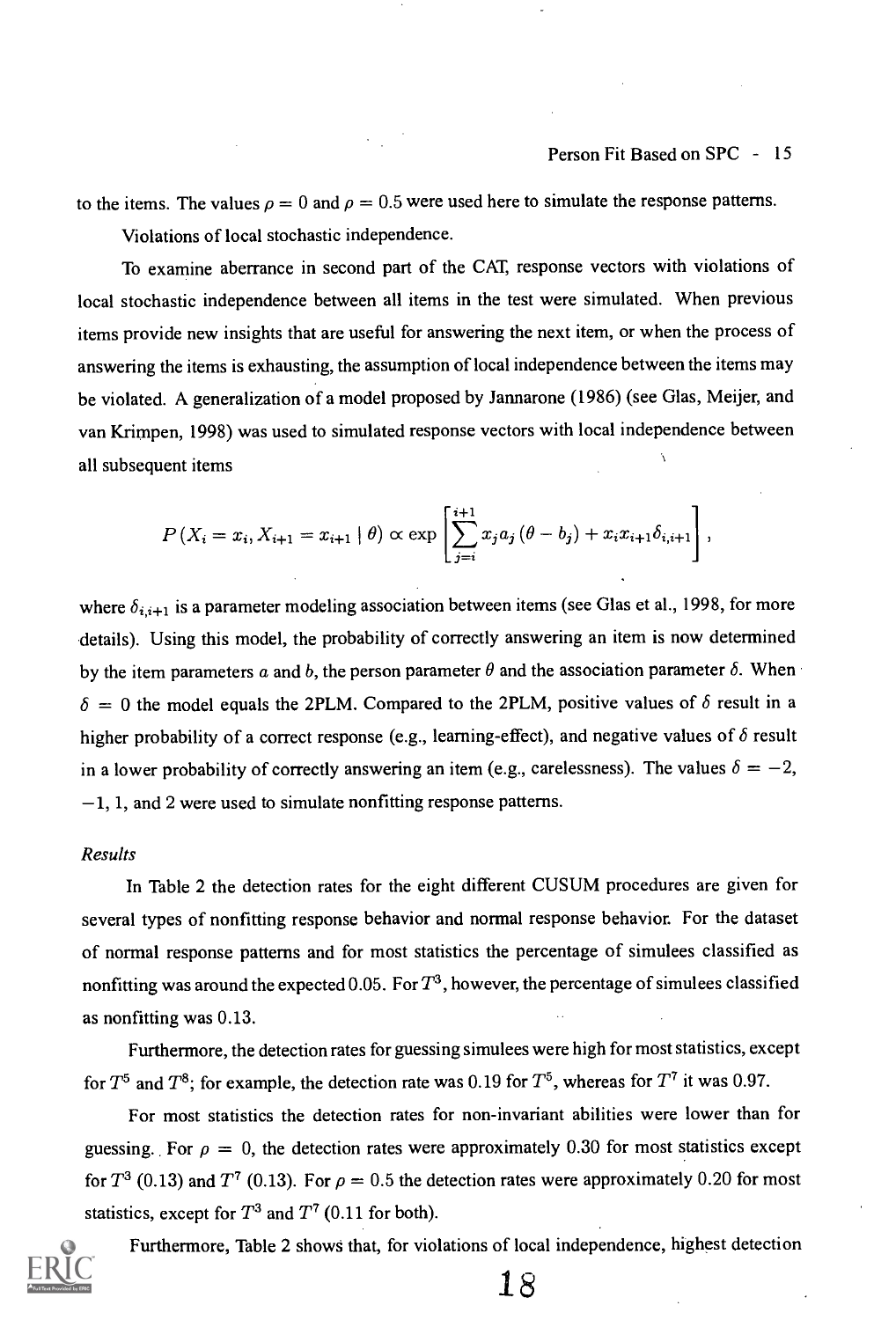to the items. The values  $\rho = 0$  and  $\rho = 0.5$  were used here to simulate the response patterns. Violations of local stochastic independence.

To examine aberrance in second part of the CAT, response vectors with violations of local stochastic independence between all items in the test were simulated. When previous items provide new insights that are useful for answering the next item, or when the process of answering the items is exhausting, the assumption of local independence between the items may be violated. A generalization of a model proposed by Jannarone (1986) (see Glas, Meijer, and van Krimpen, 1998) was used to simulated response vectors with local independence between all subsequent items

$$
P(X_i = x_i, X_{i+1} = x_{i+1} | \theta) \propto \exp \left[ \sum_{j=i}^{i+1} x_j a_j (\theta - b_j) + x_i x_{i+1} \delta_{i,i+1} \right],
$$

where  $\delta_{i,i+1}$  is a parameter modeling association between items (see Glas et al., 1998, for more details). Using this model, the probability of correctly answering an item is now determined by the item parameters a and b, the person parameter  $\theta$  and the association parameter  $\delta$ . When  $\delta = 0$  the model equals the 2PLM. Compared to the 2PLM, positive values of  $\delta$  result in a higher probability of a correct response (e.g., learning-effect), and negative values of  $\delta$  result in a lower probability of correctly answering an item (e.g., carelessness). The values  $\delta = -2$ ,  $-1$ , 1, and 2 were used to simulate nonfitting response patterns.

### Results

In Table 2 the detection rates for the eight different CUSUM procedures are given for several types of nonfitting response behavior and normal response behavior. For the dataset of normal response patterns and for most statistics the percentage of simulees classified as nonfitting was around the expected 0.05. For  $T<sup>3</sup>$ , however, the percentage of simulees classified as nonfitting was 0.13.

Furthermore, the detection rates for guessing simulees were high for most statistics, except for  $T^5$  and  $T^8$ ; for example, the detection rate was 0.19 for  $T^5$ , whereas for  $T^7$  it was 0.97.

For most statistics the detection rates for non-invariant abilities were lower than for guessing. For  $\rho = 0$ , the detection rates were approximately 0.30 for most statistics except for  $T^3$  (0.13) and  $T^7$  (0.13). For  $\rho = 0.5$  the detection rates were approximately 0.20 for most statistics, except for  $T^3$  and  $T^7$  (0.11 for both).



Furthermore, Table 2 shows that, for violations of local independence, highest detection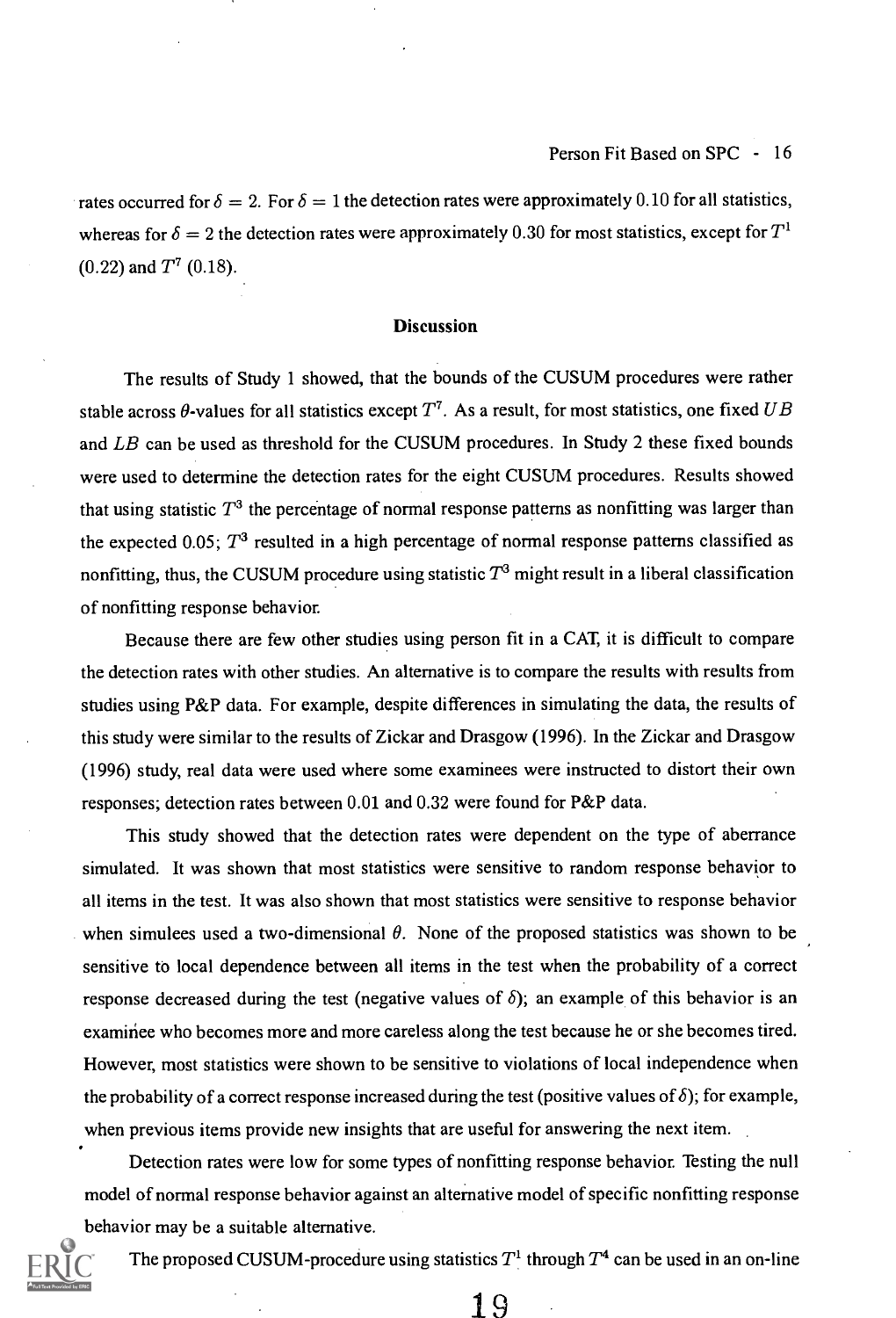rates occurred for  $\delta = 2$ . For  $\delta = 1$  the detection rates were approximately 0.10 for all statistics, whereas for  $\delta = 2$  the detection rates were approximately 0.30 for most statistics, except for  $T^1$  $(0.22)$  and  $T^7$   $(0.18)$ .

#### **Discussion**

The results of Study 1 showed, that the bounds of the CUSUM procedures were rather stable across  $\theta$ -values for all statistics except  $T^7$ . As a result, for most statistics, one fixed UB and LB can be used as threshold for the CUSUM procedures. In Study 2 these fixed bounds were used to determine the detection rates for the eight CUSUM procedures. Results showed that using statistic  $T<sup>3</sup>$  the percentage of normal response patterns as nonfitting was larger than the expected 0.05;  $T^3$  resulted in a high percentage of normal response patterns classified as nonfitting, thus, the CUSUM procedure using statistic  $T<sup>3</sup>$  might result in a liberal classification of nonfitting response behavior.

Because there are few other studies using person fit in a CAT, it is difficult to compare the detection rates with other studies. An alternative is to compare the results with results from studies using P&P data. For example, despite differences in simulating the data, the results of this study were similar to the results of Zickar and Drasgow (1996). In the Zickar and Drasgow (1996) study, real data were used where some examinees were instructed to distort their own responses; detection rates between 0.01 and 0.32 were found for P&P data.

This study showed that the detection rates were dependent on the type of aberrance simulated. It was shown that most statistics were sensitive to random response behavior to all items in the test. It was also shown that most statistics were sensitive to response behavior when simulees used a two-dimensional  $\theta$ . None of the proposed statistics was shown to be sensitive to local dependence between all items in the test when the probability of a correct response decreased during the test (negative values of  $\delta$ ); an example of this behavior is an examinee who becomes more and more careless along the test because he or she becomes tired. However, most statistics were shown to be sensitive to violations of local independence when the probability of a correct response increased during the test (positive values of  $\delta$ ); for example, when previous items provide new insights that are useful for answering the next item.

Detection rates were low for some types of nonfitting response behavior. Testing the null model of normal response behavior against an alternative model of specific nonfitting response behavior may be a suitable alternative.



The proposed CUSUM-procedure using statistics  $T<sup>1</sup>$  through  $T<sup>4</sup>$  can be used in an on-line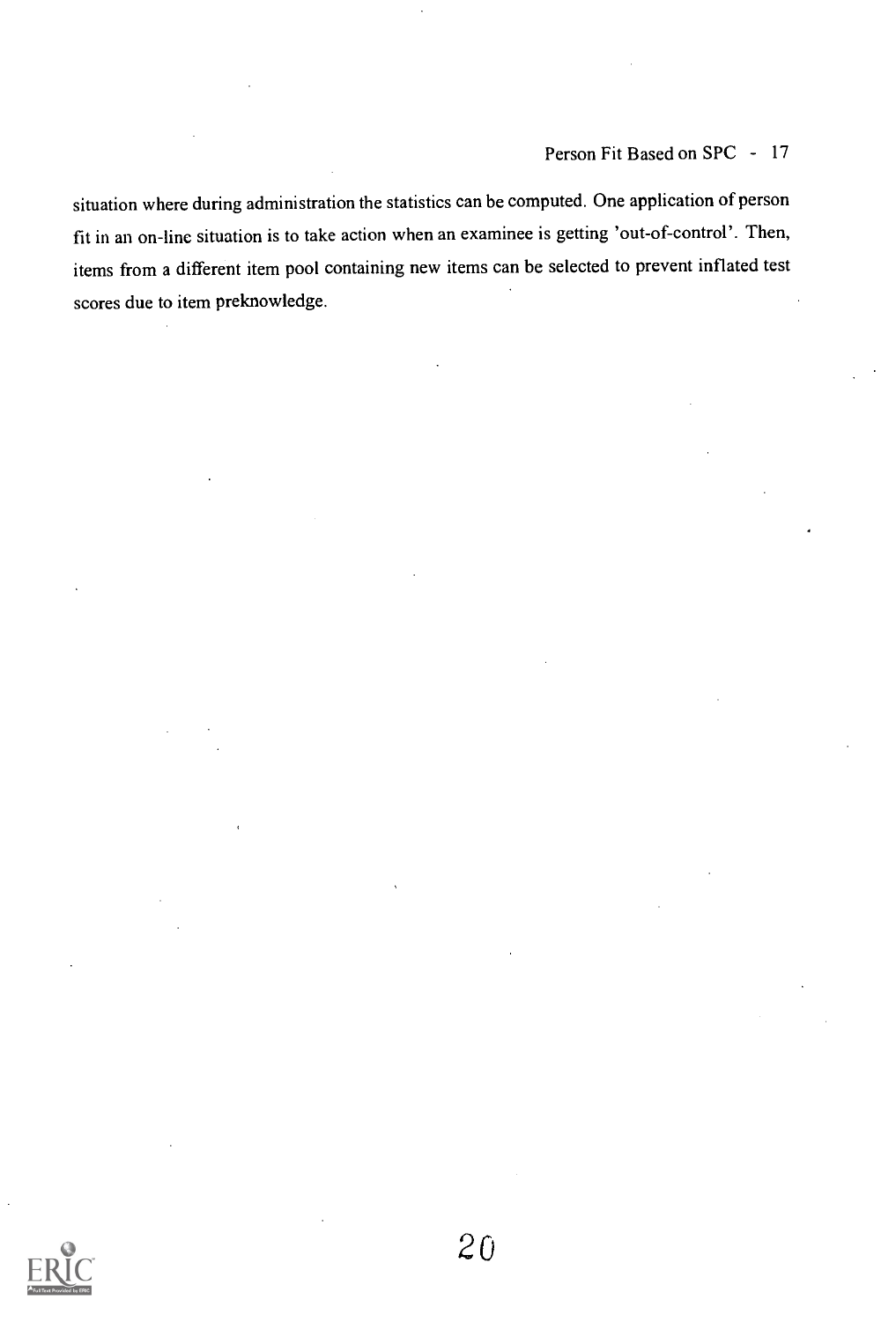situation where during administration the statistics can be computed. One application of person fit in an on-linc situation is to take action when an examinee is getting 'out-of-control'. Then, items from a different item pool containing new items can be selected to prevent inflated test scores due to item preknowledge.

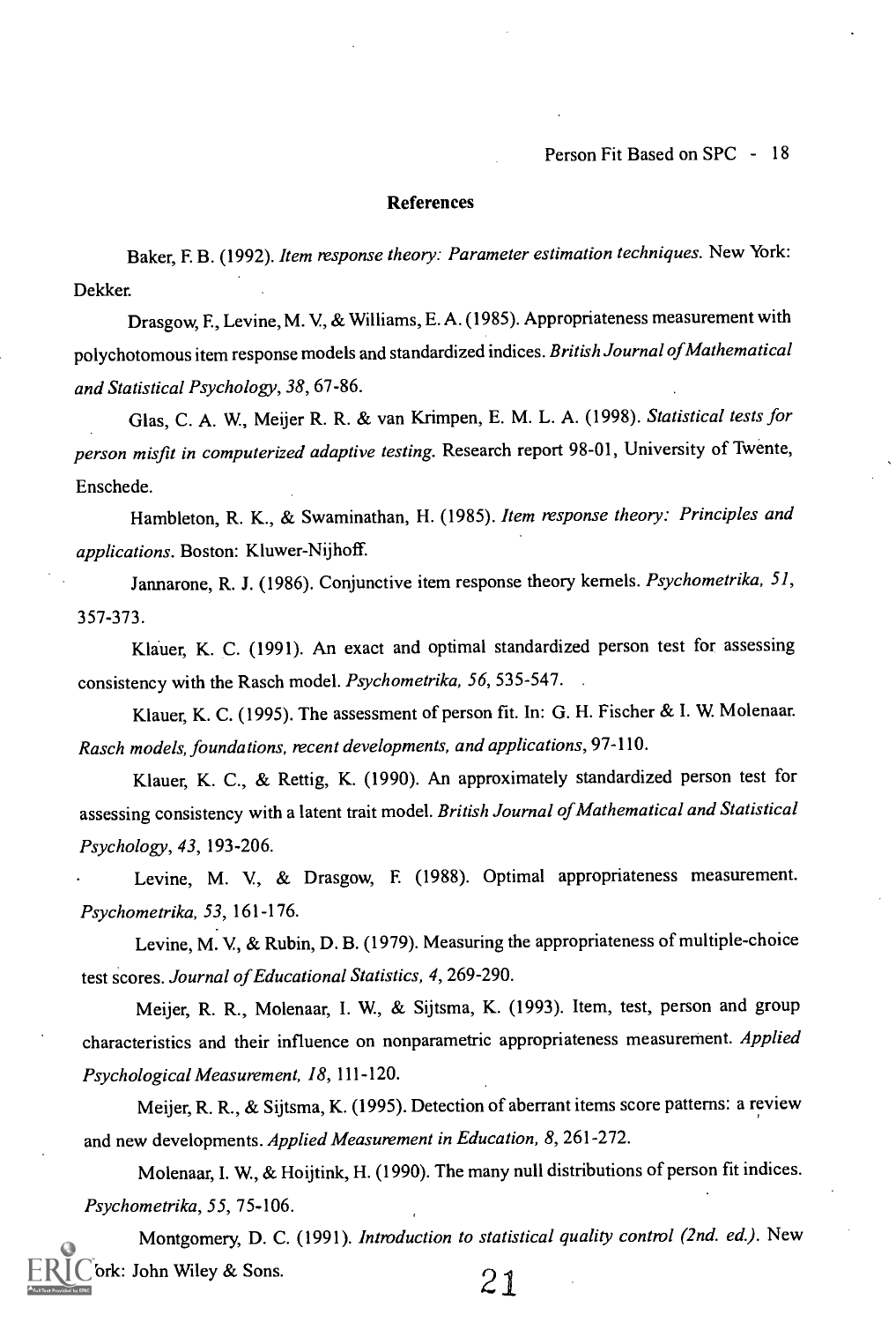#### References

Baker, F. B. (1992). Item response theory: Parameter estimation techniques. New York: Dekker.

Drasgow, E, Levine, M. V, & Williams, E. A. (1985). Appropriateness measurement with polychotornous item response models and standardized indices. British Journal of Mathematical and Statistical Psychology, 38, 67-86.

Glas, C. A. W, Meijer R. R. & van Krimpen, E. M. L. A. (1998). Statistical tests for person misfit in computerized adaptive testing. Research report 98-01, University of Twente, Enschede.

Hambleton, R. K., & Swaminathan, H. (1985). Item response theory: Principles and applications. Boston: Kluwer-Nijhoff.

Jannarone, R. J. (1986). Conjunctive item response theory kernels. Psychometrika, 51, 357-373.

Klauer, K. C. (1991). An exact and optimal standardized person test for assessing consistency with the Rasch model. Psychometrika, 56, 535-547.

Klauer, K. C. (1995). The assessment of person fit. In: G. H. Fischer & I. W. Molenaar. Rasch models, foundations, recent developments, and applications, 97-110.

Klauer, K. C., & Rettig, K. (1990). An approximately standardized person test for assessing consistency with a latent trait model. British Journal of Mathematical and Statistical Psychology, 43, 193-206.

Levine, M. V, & Drasgow, E (1988). Optimal appropriateness measurement. Psychometrika, 53, 161-176.

Levine, M. V, & Rubin, D. B. (1979). Measuring the appropriateness of multiple-choice test scores. Journal of Educational Statistics, 4, 269-290.

Meijer, R. R., Molenaar, I. W, & Sijtsma, K. (1993). Item, test, person and group characteristics and their influence on nonparametric appropriateness measurement. Applied Psychological Measurement, 18, 111-120.

Meijer, R. R., & Sijtsma, K. (1995). Detection of aberrant items score patterns: a review and new developments. Applied Measurement in Education, 8, 261-272.

Molenaar, I. W, & Hoijtink, H. (1990). The many null distributions of person fit indices. Psychometrika, 55, 75-106.

Montgomery, D. C. (1991). Introduction to statistical quality control (2nd. ed.). New Fork: John Wiley & Sons.  $21$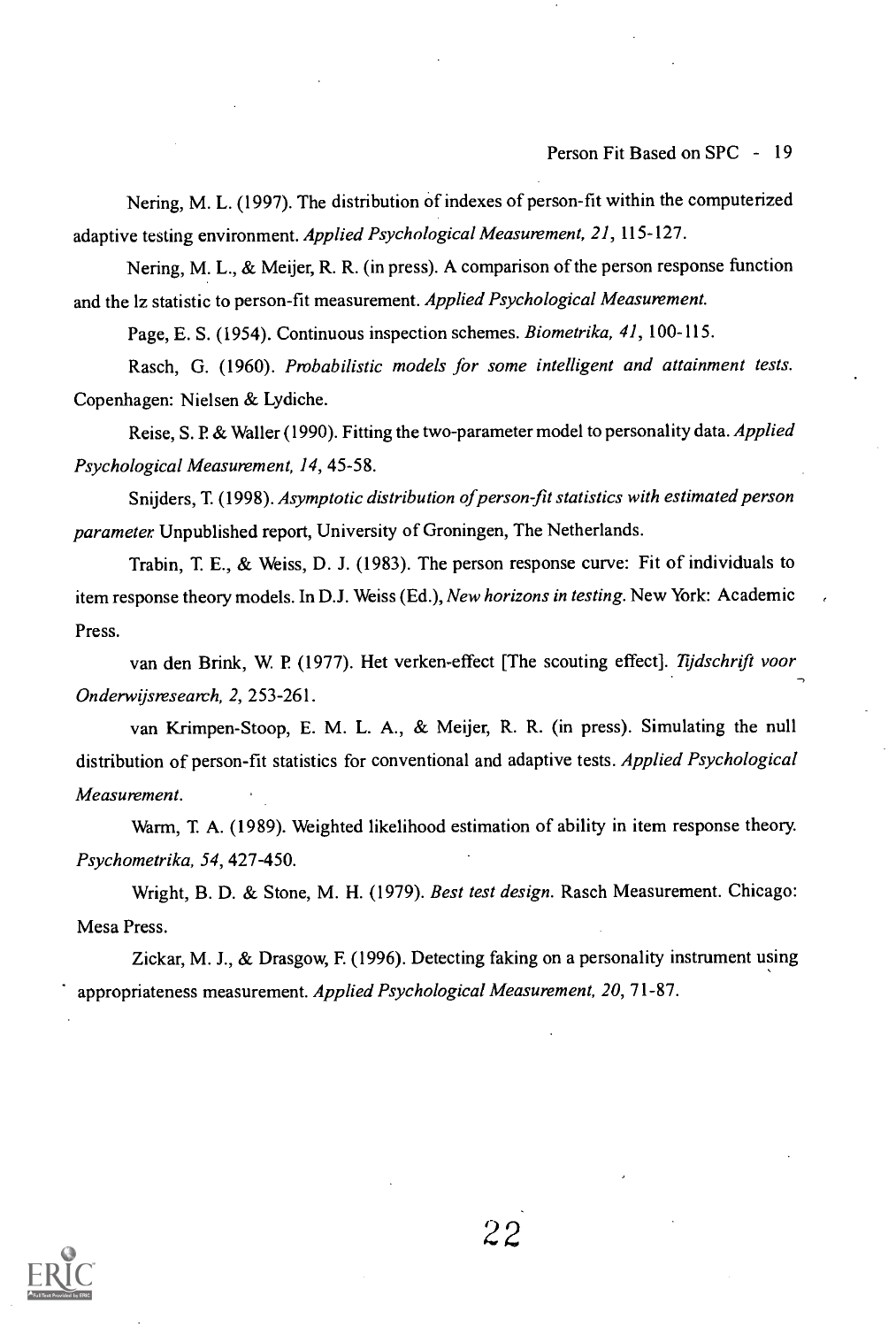Person Fit Based on SPC - 19

Nering, M. L. (1997). The distribution of indexes of person-fit within the computerized adaptive testing environment. Applied Psychological Measurement, 21, 115-127.

Nering, M. L., & Meijer, R. R. (in press). A comparison of the person response function and the lz statistic to person-fit measurement. Applied Psychological Measurement.

Page, E. S. (1954). Continuous inspection schemes. Biometrika, 41,100-115.

Rasch, G. (1960). Probabilistic models for some intelligent and attainment tests. Copenhagen: Nielsen & Lydiche.

Reise, S. P. & Waller (1990). Fitting the two-parameter model to personality data. Applied Psychological Measurement, 14, 45-58.

Snijders, T. (1998). Asymptotic distribution of person-fit statistics with estimated person parameter Unpublished report, University of Groningen, The Netherlands.

Trabin, T E., & Weiss, D. J. (1983). The person response curve: Fit of individuals to item response theory models. In D.J. Weiss (Ed.), New horizons in testing. New York: Academic Press.

van den Brink, W. P. (1977). Het verken-effect [The scouting effect]. Tijdschrift voor Onderwijsresearch, 2, 253-261.

van Krimpen-Stoop, E. M. L. A., & Meijer, R. R. (in press). Simulating the null distribution of person-fit statistics for conventional and adaptive tests. Applied Psychological Measurement.

Warm, T A. (1989). Weighted likelihood estimation of ability in item response theory. Psychometrika, 54, 427-450.

Wright, B. D. & Stone, M. H. (1979). Best test design. Rasch Measurement. Chicago: Mesa Press.

Zickar, M. J., & Drasgow, F. (1996). Detecting faking on a personality instrument using appropriateness measurement. Applied Psychological Measurement, 20, 71-87.

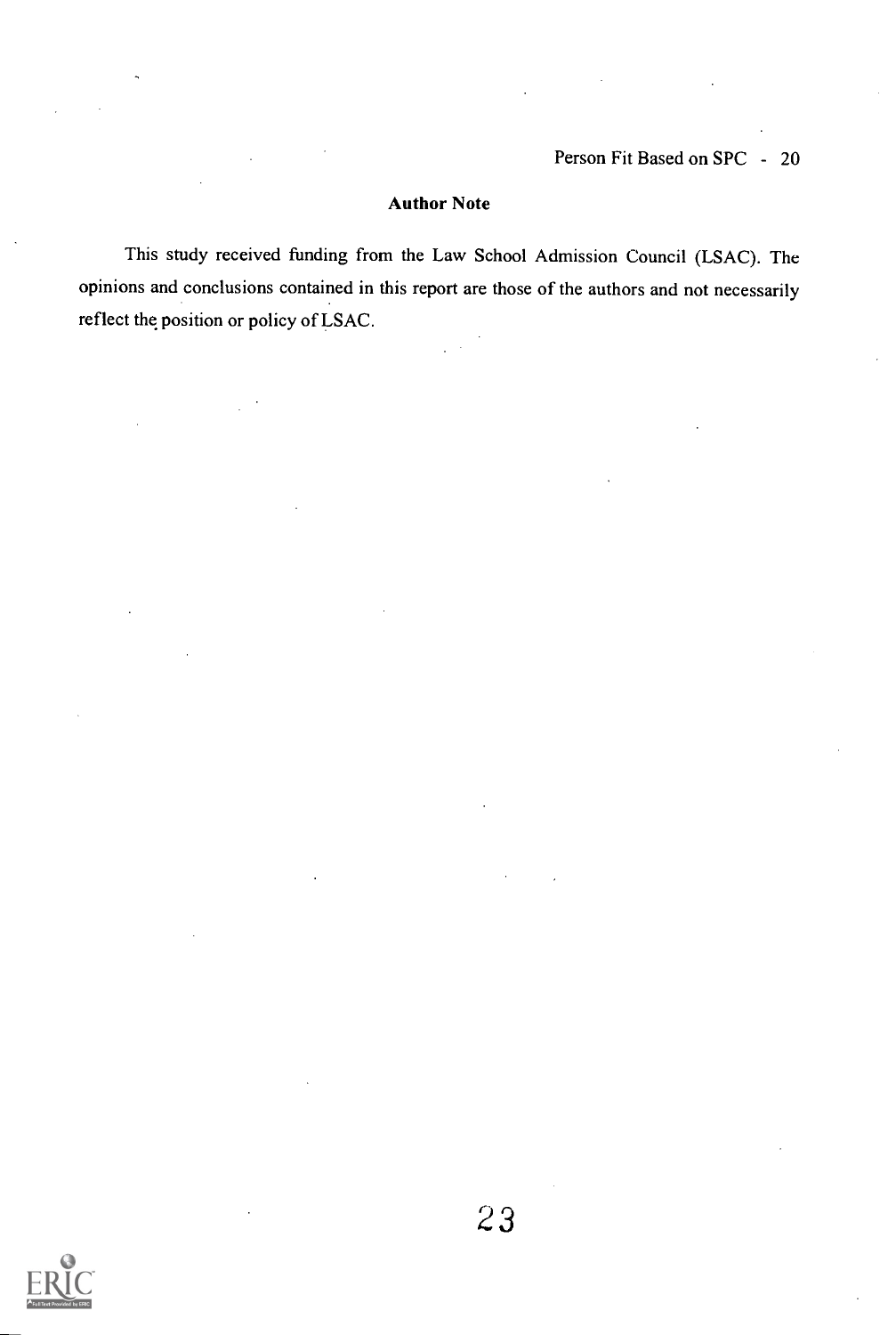## Author Note

This study received funding from the Law School Admission Council (LSAC). The opinions and conclusions contained in this report are those of the authors and not necessarily reflect the position or policy of LSAC.

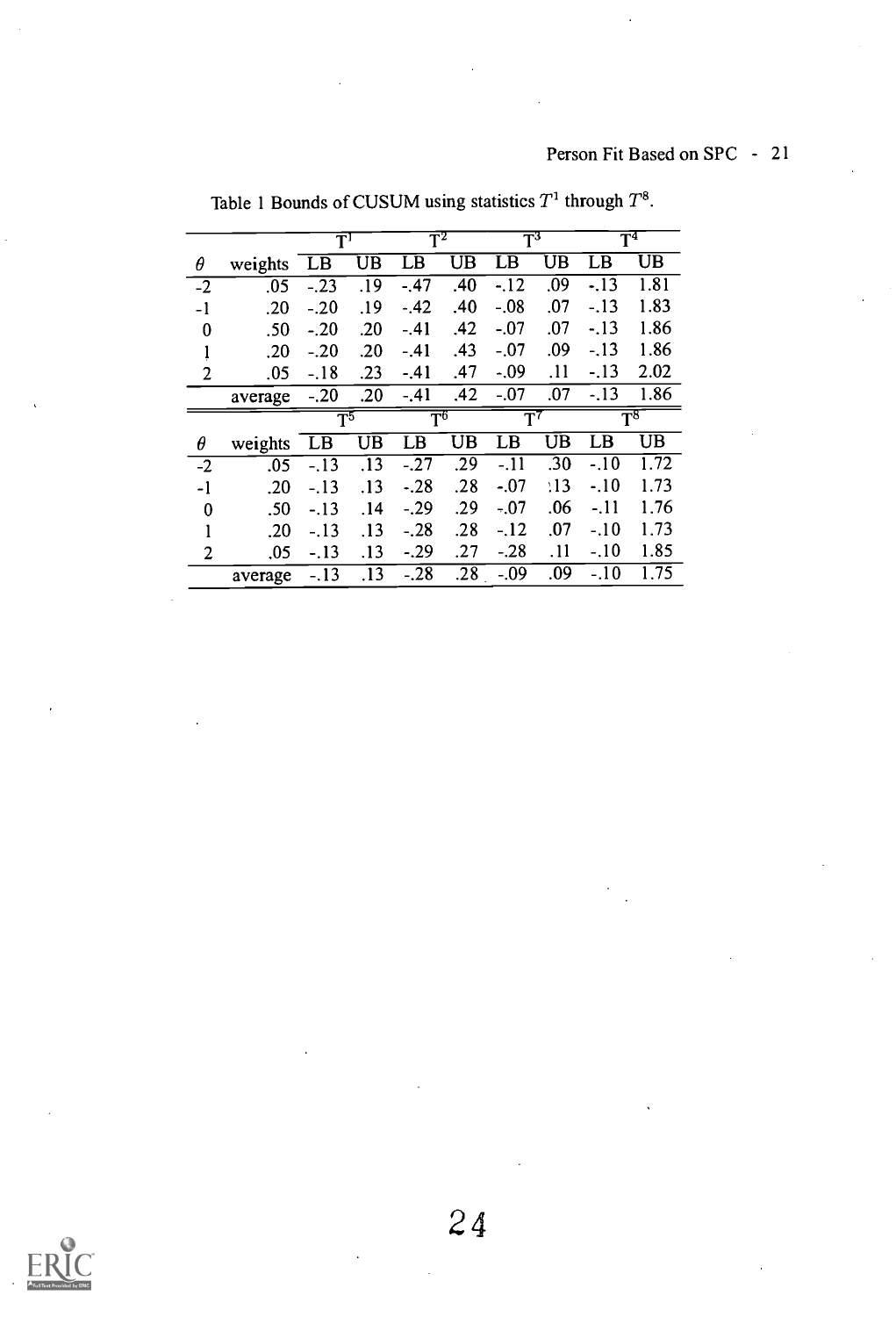# Person Fit Based on SPC - 21

|                |         | $\mathbf{T}^{\mathbf{I}}$ |                  | $\mathbf{T}^2$            |     | $\mathbf{T}^3$ |     | T <sup>4</sup> |                |
|----------------|---------|---------------------------|------------------|---------------------------|-----|----------------|-----|----------------|----------------|
| θ              | weights | LB                        | UB               | LB                        | UB  | LB             | UВ  | LВ             | UВ             |
| $-2$           | .05     | $-.23$                    | .19              | $-.47$                    | .40 | $-12$          | .09 | $-13$          | 1.81           |
| $-1$           | .20     | $-.20$                    | .19              | $-.42$                    | .40 | $-.08$         | .07 | $-.13$         | 1.83           |
| 0              | .50     | $-.20$                    | .20              | $-.41$                    | .42 | $-.07$         | .07 | $-.13$         | 1.86           |
| ļ              | .20     | $-.20$                    | .20              | $-.41$                    | .43 | $-.07$         | .09 | $-.13$         | 1.86           |
| $\overline{2}$ | .05     | $-.18$                    | .23              | $-.41$                    | .47 | $-0.09$        | .11 | $-13$          | 2.02           |
|                | average | $-.20$                    | .20              | $-.41$                    | .42 | $-.07$         | .07 | $-13$          | 1.86           |
|                |         |                           |                  |                           |     |                |     |                |                |
|                |         | $\overline{\mathrm{T}^5}$ |                  | $\overline{\mathrm{T}^6}$ |     | $\mathbf{T}^7$ |     |                | $\mathsf{T}^8$ |
| θ              | weights | LB                        | UB               | LB                        | UB  | LB             | UB  | LB             | UB             |
| $-2$           | .05     | $-.13$                    | $\overline{.}13$ | $-27$                     | .29 | $-11$          | .30 | $-.10$         | 1.72           |
| -1             | .20     | $-.13$                    | .13              | $-.28$                    | .28 | $-.07$         | :13 | $-.10$         | 1.73           |
| 0              | .50     | $-.13$                    | .14              | $-.29$                    | .29 | $-.07$         | .06 | $-11$          | 1.76           |
| 1              | .20     | $-.13$                    | .13              | $-.28$                    | .28 | $-.12$         | .07 | $-.10$         | 1.73           |
| 2              | .05     | $-.13$                    | .13              | $-.29$                    | .27 | $-.28$         | .11 | $-.10$         | 1.85           |

Table 1 Bounds of CUSUM using statistics  $T^1$  through  $T^8$ .

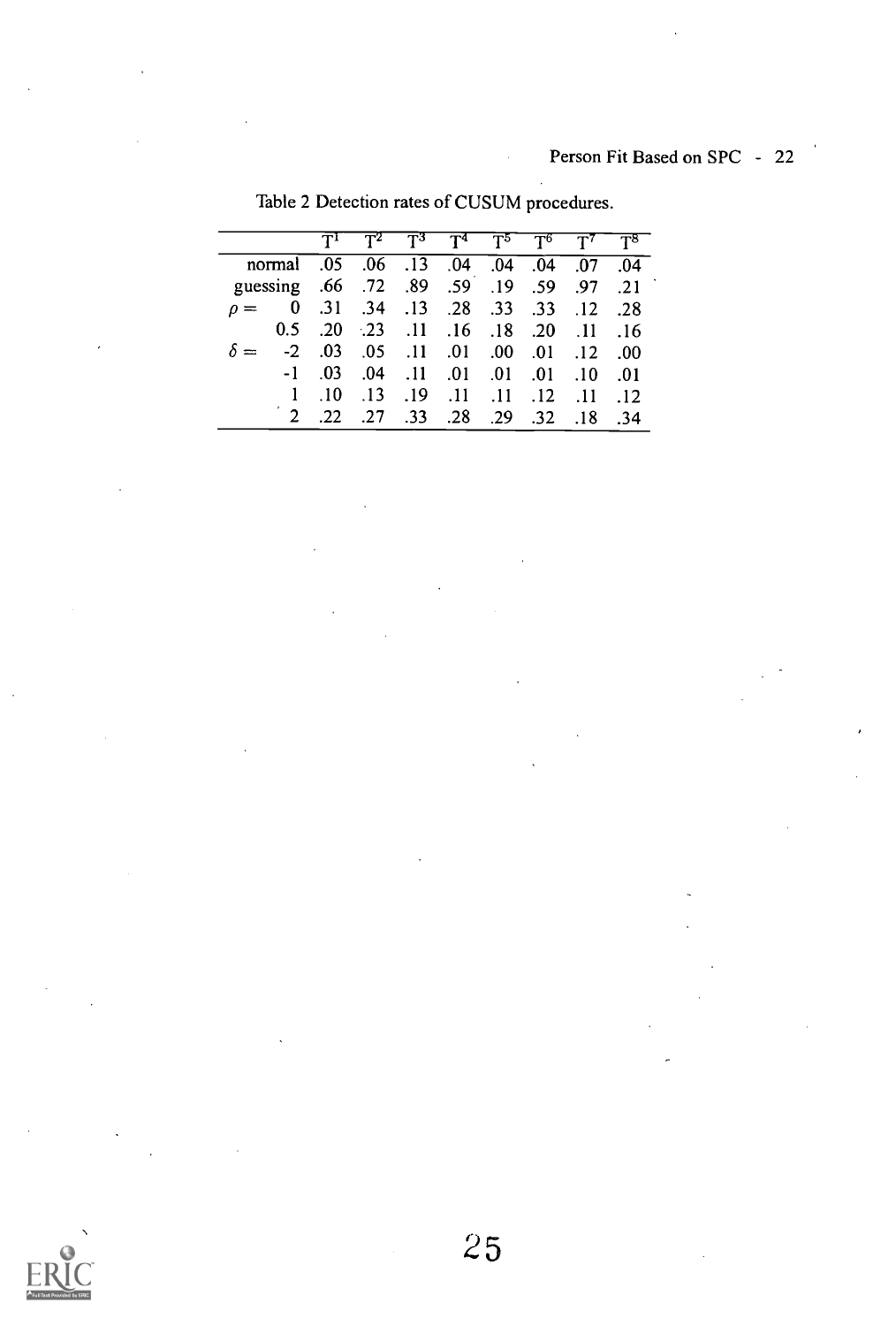|                                            |            |       | $T^1$ $T^2$ $T^3$ $T^4$ $T^5$ $T^6$ $T^7$ |  |                 |
|--------------------------------------------|------------|-------|-------------------------------------------|--|-----------------|
| 04. 07. 04. 04. 04. 04. 04. 05. 06. 05.    |            |       |                                           |  |                 |
| guessing .66 .72 .89 .59 .19 .59 .97 .21   |            |       |                                           |  |                 |
| $\rho = 0$ .31 .34 .13 .28 .33 .33 .12 .28 |            |       |                                           |  |                 |
|                                            |            |       | 0.5 .20 .23 .11 .16 .18 .20 .11 .16       |  |                 |
|                                            | $-2$ .03   |       | 00. 12. 01. 00. 01. 11. 05.               |  |                 |
|                                            | $-1$ .03   | 0.04  | .10. 01. 01. 01. 11.                      |  | - .01           |
|                                            | $\cdot$ 10 | $-13$ | .11 .12 .11 .11 .12                       |  | $\overline{12}$ |
|                                            | .22        | 0.27  | .33 .28 .29 .32 .18                       |  | - 34            |

Table 2 Detection rates of CUSUM procedures.

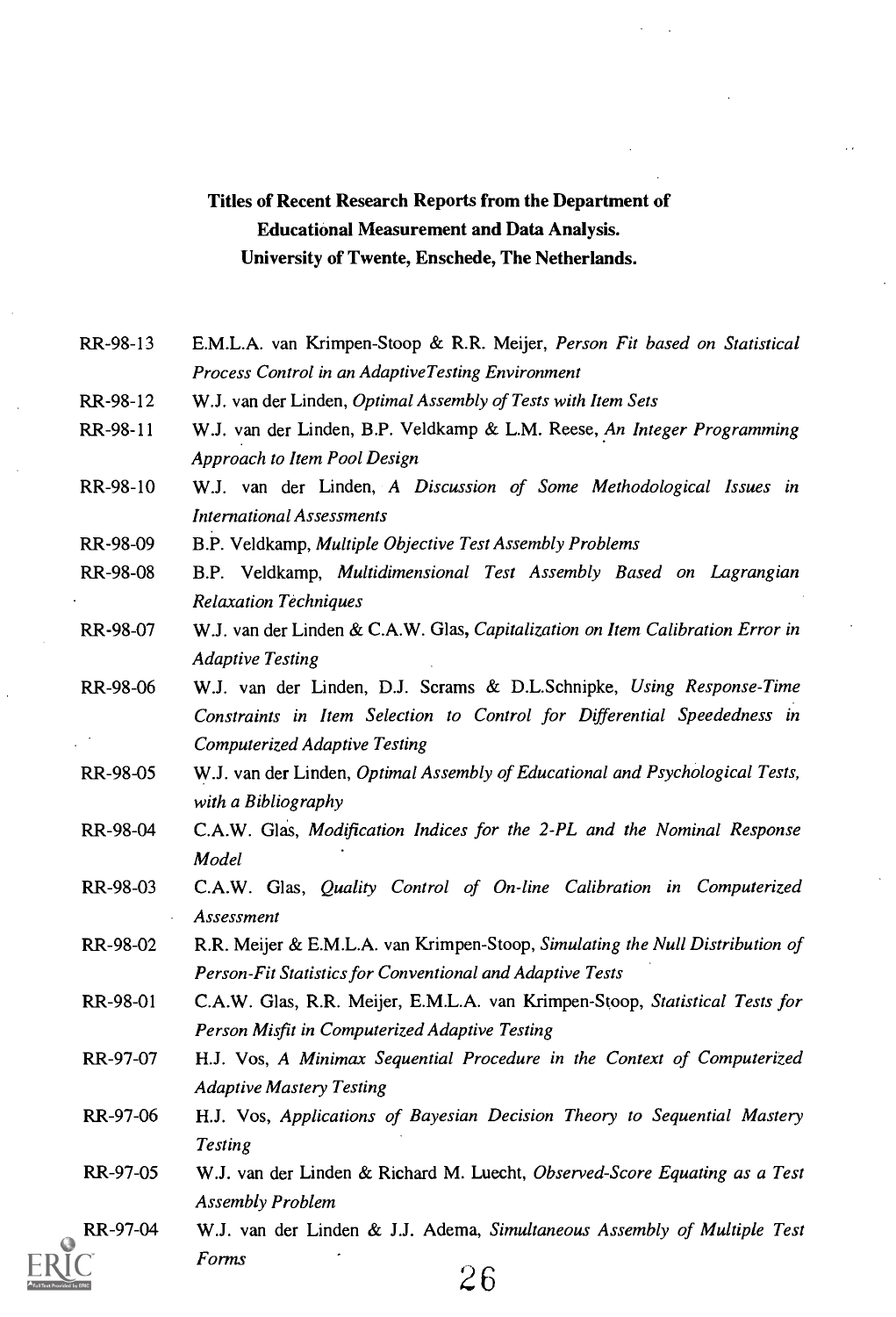# Titles of Recent Research Reports from the Department of Educational Measurement and Data Analysis. University of Twente, Enschede, The Netherlands.

- RR-98-13 E.M.L.A. van Krimpen-Stoop & R.R. Meijer, Person Fit based on Statistical Process Control in an Adaptive Testing Environment
- RR-98-12 W.J. van der Linden, Optimal Assembly of Tests with Item Sets
- RR-98-11 W.J. van der Linden, B.P. Veldkamp & L.M. Reese, An Integer Programming Approach to Item Pool Design
- RR-98-10 W.J. van der Linden, A Discussion of Some Methodological Issues in International Assessments
- RR-98-09 B.P. Veldkamp, Multiple Objective Test Assembly Problems
- RR-98-08 B.P. Veldkamp, Multidimensional Test Assembly Based on Lagrangian Relaxation Techniques
- RR-98-07 W.J. van der Linden & C.A.W. Glas, Capitalization on Item Calibration Error in Adaptive Testing
- RR-98-06 W.J. van der Linden, D.J. Scrams & D.L.Schnipke, Using Response-Time Constraints in Item Selection to Control for Differential Speededness in Computerized Adaptive Testing
- RR-98-05 W.J. van der Linden, Optimal Assembly of Educational and Psychological Tests, with a Bibliography
- RR-98-04 C.A.W. Glas, Modification Indices for the 2-PL and the Nominal Response Model
- RR-98-03 C.A.W. Glas, Quality Control of On-line Calibration in Computerized Assessment
- RR-98-02 R.R. Meijer & E.M.L.A. van Krimpen-Stoop, Simulating the Null Distribution of Person-Fit Statistics for Conventional and Adaptive Tests
- RR-98-01 C.A.W. Glas, R.R. Meijer, E.M.L.A. van Krimpen-Stoop, Statistical Tests for Person Misfit in Computerized Adaptive Testing
- RR-97-07 H.J. Vos, A Minimax Sequential Procedure in the Context of Computerized Adaptive Mastery Testing
- RR-97-06 H.J. Vos, Applications of Bayesian Decision Theory to Sequential Mastery Testing
- RR-97-05 W.J. van der Linden & Richard M. Luecht, Observed-Score Equating as a Test Assembly Problem
- RR-97-04 W.J. van der Linden & J.J. Adema, Simultaneous Assembly of Multiple Test Forms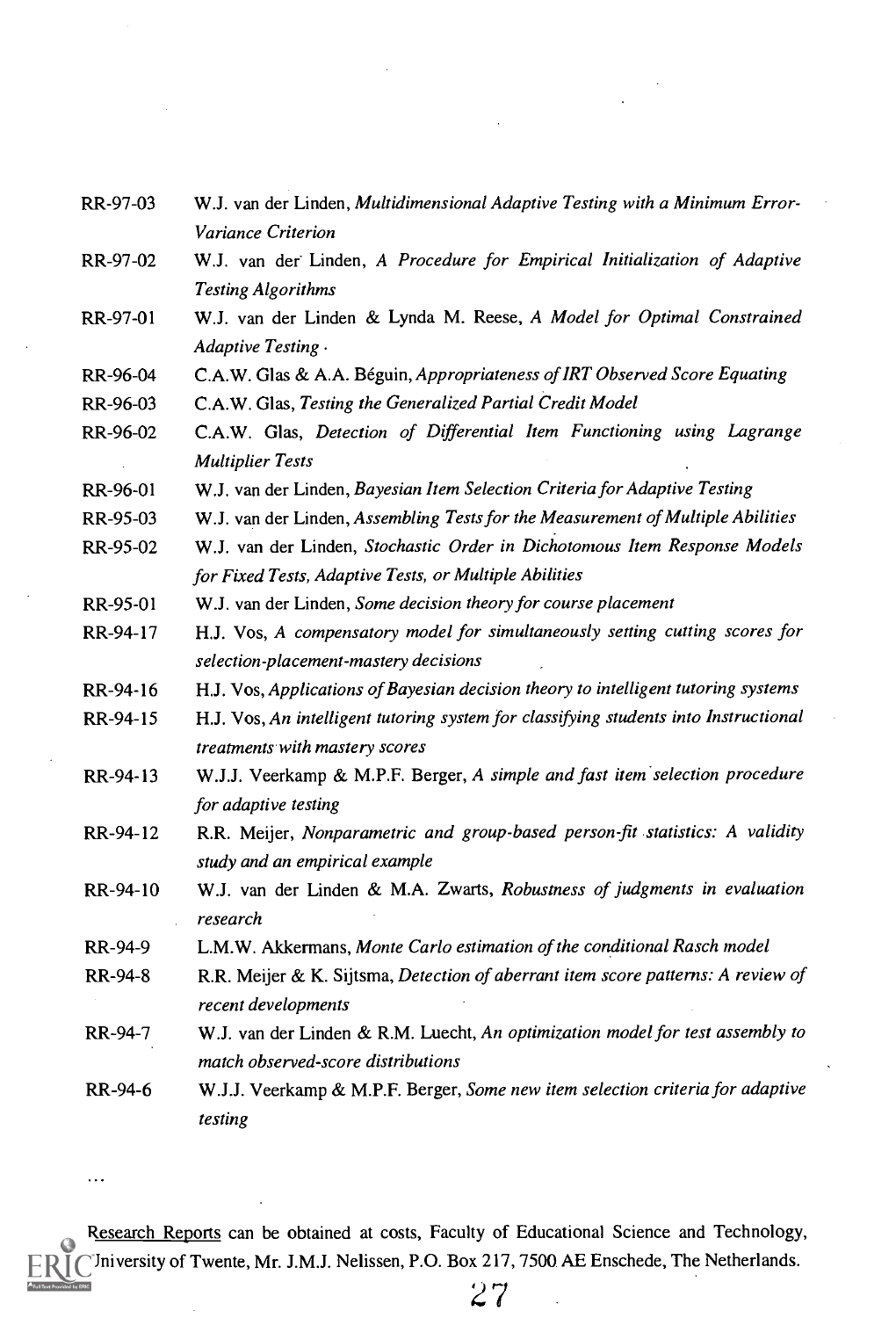| RR-97-03 | W.J. van der Linden, Multidimensional Adaptive Testing with a Minimum Error- |
|----------|------------------------------------------------------------------------------|
|          | <i>Variance Criterion</i>                                                    |

- RR-97-02 W.J. van der Linden, A Procedure for Empirical Initialization of Adaptive Testing Algorithms
- RR-97-01 W.J. van der Linden & Lynda M. Reese, A Model for Optimal Constrained Adaptive Testing .
- RR-96-04 C.A.W. Glas & A.A. Béguin, Appropriateness of IRT Observed Score Equating
- RR-96-03 C.A.W. Glas, Testing the Generalized Partial Credit Model
- RR-96-02 C.A.W. Glas, Detection of Differential Item Functioning using Lagrange Multiplier Tests
- RR-96-01 W.J. van der Linden, Bayesian Item Selection Criteria for Adaptive Testing
- RR-95-03 W.J. van der Linden, Assembling Tests for the Measurement of Multiple Abilities
- RR-95-02 W.J. van der Linden, Stochastic Order in Dichotomous Item Response Models for Fixed Tests, Adaptive Tests, or Multiple Abilities
- RR-95-01 W.J. van der Linden, Some decision theory for course placement
- RR-94-17 H.J. Vos, A compensatory model for simultaneously setting cutting scores for selection-placement-mastery decisions
- RR-94-16 H.J. Vos, Applications of Bayesian decision theory to intelligent tutoring systems
- RR-94-15 H.J. Vos, An intelligent tutoring system for classifying students into Instructional treatments with mastery scores
- RR-94-13 W.J.J. Veerkamp & M.P.F. Berger, A simple and fast item selection procedure for adaptive testing
- RR-94-12 R.R. Meijer, Nonparametric and group-based person-fit statistics: A validity study and an empirical example
- RR-94-10 W.J. van der Linden & M.A. Zwarts, Robustness of judgments in evaluation research
- RR-94-9 L.M.W. Akkermans, Monte Carlo estimation of the conditional Rasch model
- RR-94-8 R.R. Meijer & K. Sijtsma, Detection of aberrant item score patterns: A review of recent developments
- RR-94-7 W.J. van der Linden & R.M. Luecht, An optimization model for test assembly to match observed-score distributions
- RR-94-6 W.J.J. Veerkamp & M.P.F. Berger, Some new item selection criteria for adaptive testing

Research Reports can be obtained at costs, Faculty of Educational Science and Technology, University of Twente, Mr. J.M.J. Nelissen, P.O. Box 217, 7500 AE Enschede, The Netherlands.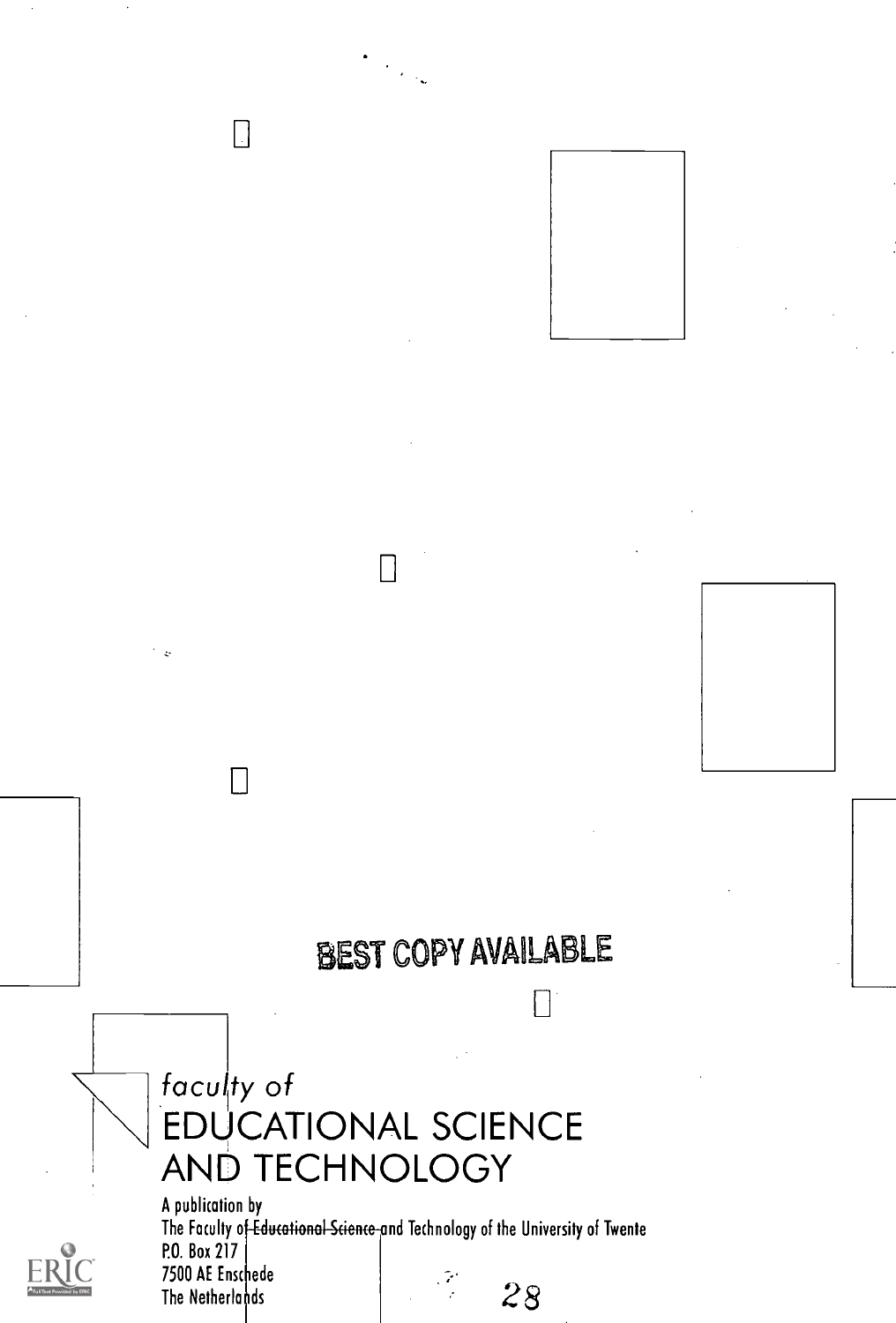# BEST COPY AVAILABLE

r-

# faculty of EDUCATIONAL SCIENCE AND TECHNOLOGY

Н

 $\Box$ 

 $\Box$ 



A publication by The Faculty o<del>f Educational Science a</del>nd Technology of the University of Twente P.O. Box 217 7500 AE Ensc iede The Netherlands  $\frac{3}{2}$  28